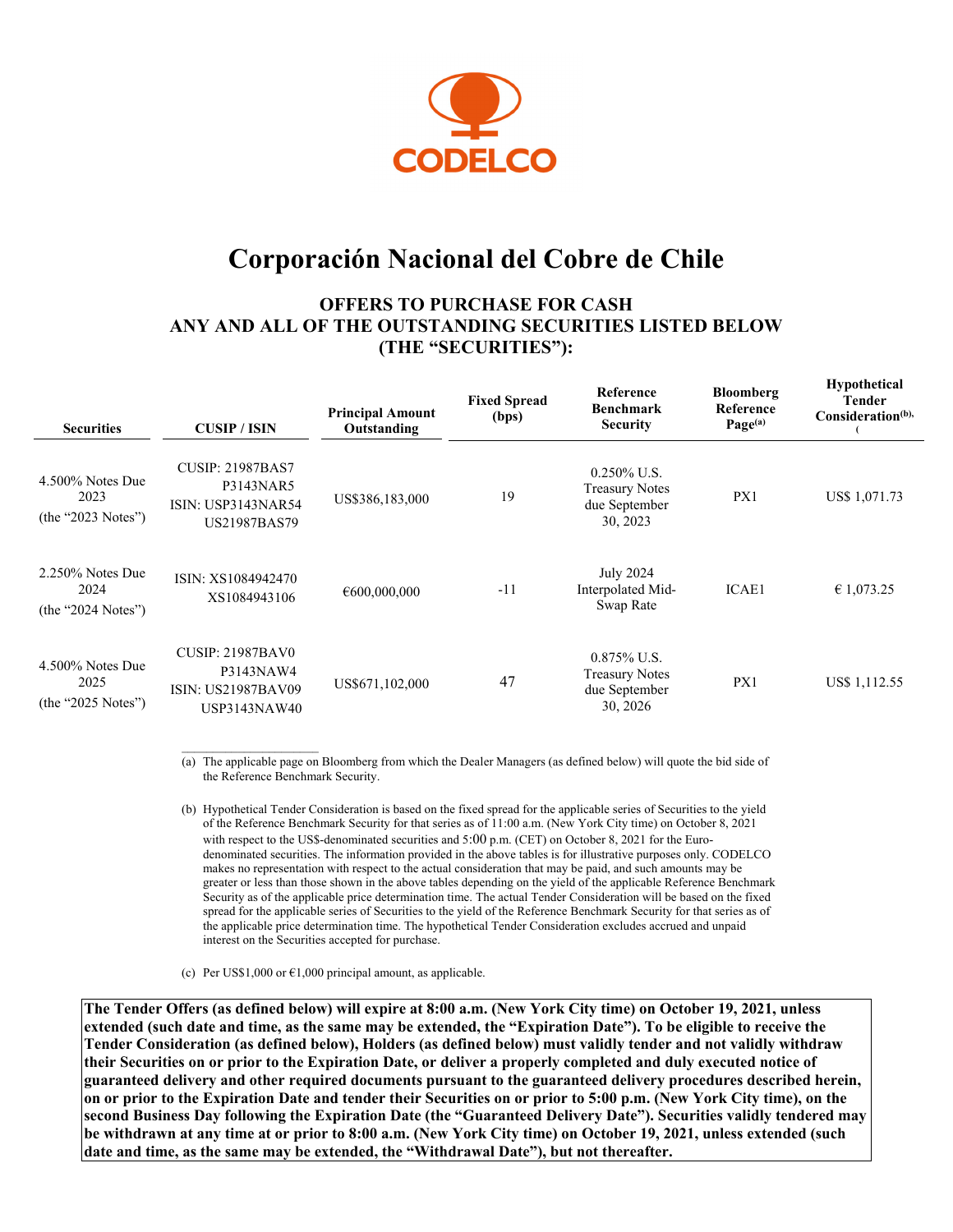

# **Corporación Nacional del Cobre de Chile**

# **OFFERS TO PURCHASE FOR CASH ANY AND ALL OF THE OUTSTANDING SECURITIES LISTED BELOW (THE "SECURITIES"):**

| <b>Securities</b>                                 | <b>CUSIP</b> / ISIN                                                               | <b>Principal Amount</b><br>Outstanding | <b>Fixed Spread</b><br>(bps) | Reference<br>Benchmark<br><b>Security</b>                            | Bloomberg<br><b>Reference</b><br>Page <sup>(a)</sup> | <b>Hypothetical</b><br>Tender<br>Consideration <sup>(b),</sup> |
|---------------------------------------------------|-----------------------------------------------------------------------------------|----------------------------------------|------------------------------|----------------------------------------------------------------------|------------------------------------------------------|----------------------------------------------------------------|
| $4.500\%$ Notes Due<br>2023<br>(the "2023 Notes") | <b>CUSIP: 21987BAS7</b><br>P3143NAR5<br><b>ISIN: USP3143NAR54</b><br>US21987BAS79 | US\$386,183,000                        | 19                           | $0.250\%$ U.S.<br><b>Treasury Notes</b><br>due September<br>30, 2023 | PX1                                                  | US\$ 1,071.73                                                  |
| $2.250\%$ Notes Due<br>2024<br>(the "2024 Notes") | ISIN: XS1084942470<br>XS1084943106                                                | €600,000,000                           | $-11$                        | <b>July 2024</b><br>Interpolated Mid-<br>Swap Rate                   | <b>ICAE1</b>                                         | € 1,073.25                                                     |
| 4.500% Notes Due<br>2025<br>(the "2025 Notes")    | <b>CUSIP: 21987BAV0</b><br>P3143NAW4<br><b>ISIN: US21987BAV09</b><br>USP3143NAW40 | US\$671,102,000                        | 47                           | $0.875\%$ U.S.<br><b>Treasury Notes</b><br>due September<br>30, 2026 | PX1                                                  | US\$ 1,112.55                                                  |

(a) The applicable page on Bloomberg from which the Dealer Managers (as defined below) will quote the bid side of the Reference Benchmark Security.

(b) Hypothetical Tender Consideration is based on the fixed spread for the applicable series of Securities to the yield of the Reference Benchmark Security for that series as of 11:00 a.m. (New York City time) on October 8, 2021 with respect to the US\$-denominated securities and 5:00 p.m. (CET) on October 8, 2021 for the Eurodenominated securities. The information provided in the above tables is for illustrative purposes only. CODELCO makes no representation with respect to the actual consideration that may be paid, and such amounts may be greater or less than those shown in the above tables depending on the yield of the applicable Reference Benchmark Security as of the applicable price determination time. The actual Tender Consideration will be based on the fixed spread for the applicable series of Securities to the yield of the Reference Benchmark Security for that series as of the applicable price determination time. The hypothetical Tender Consideration excludes accrued and unpaid interest on the Securities accepted for purchase.

(c) Per US\$1,000 or  $\epsilon$ 1,000 principal amount, as applicable.

**The Tender Offers (as defined below) will expire at 8:00 a.m. (New York City time) on October 19, 2021, unless extended (such date and time, as the same may be extended, the "Expiration Date"). To be eligible to receive the Tender Consideration (as defined below), Holders (as defined below) must validly tender and not validly withdraw their Securities on or prior to the Expiration Date, or deliver a properly completed and duly executed notice of guaranteed delivery and other required documents pursuant to the guaranteed delivery procedures described herein, on or prior to the Expiration Date and tender their Securities on or prior to 5:00 p.m. (New York City time), on the second Business Day following the Expiration Date (the "Guaranteed Delivery Date"). Securities validly tendered may be withdrawn at any time at or prior to 8:00 a.m. (New York City time) on October 19, 2021, unless extended (such date and time, as the same may be extended, the "Withdrawal Date"), but not thereafter.**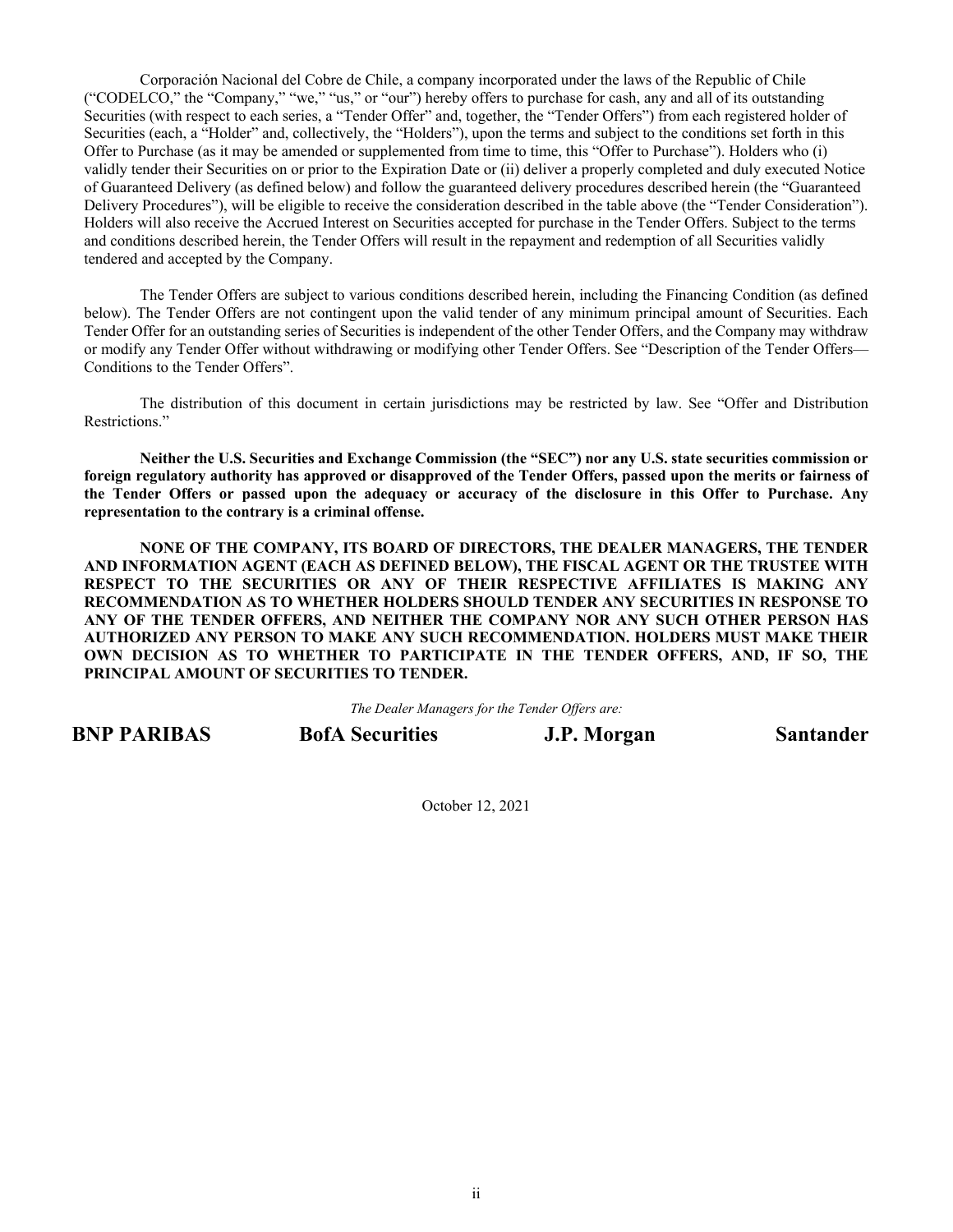Corporación Nacional del Cobre de Chile, a company incorporated under the laws of the Republic of Chile ("CODELCO," the "Company," "we," "us," or "our") hereby offers to purchase for cash, any and all of its outstanding Securities (with respect to each series, a "Tender Offer" and, together, the "Tender Offers") from each registered holder of Securities (each, a "Holder" and, collectively, the "Holders"), upon the terms and subject to the conditions set forth in this Offer to Purchase (as it may be amended or supplemented from time to time, this "Offer to Purchase"). Holders who (i) validly tender their Securities on or prior to the Expiration Date or (ii) deliver a properly completed and duly executed Notice of Guaranteed Delivery (as defined below) and follow the guaranteed delivery procedures described herein (the "Guaranteed Delivery Procedures"), will be eligible to receive the consideration described in the table above (the "Tender Consideration"). Holders will also receive the Accrued Interest on Securities accepted for purchase in the Tender Offers. Subject to the terms and conditions described herein, the Tender Offers will result in the repayment and redemption of all Securities validly tendered and accepted by the Company.

The Tender Offers are subject to various conditions described herein, including the Financing Condition (as defined below). The Tender Offers are not contingent upon the valid tender of any minimum principal amount of Securities. Each Tender Offer for an outstanding series of Securities is independent of the other Tender Offers, and the Company may withdraw or modify any Tender Offer without withdrawing or modifying other Tender Offers. See "Description of the Tender Offers— Conditions to the Tender Offers".

The distribution of this document in certain jurisdictions may be restricted by law. See "Offer and Distribution Restrictions."

**Neither the U.S. Securities and Exchange Commission (the "SEC") nor any U.S. state securities commission or foreign regulatory authority has approved or disapproved of the Tender Offers, passed upon the merits or fairness of the Tender Offers or passed upon the adequacy or accuracy of the disclosure in this Offer to Purchase. Any representation to the contrary is a criminal offense.** 

**NONE OF THE COMPANY, ITS BOARD OF DIRECTORS, THE DEALER MANAGERS, THE TENDER AND INFORMATION AGENT (EACH AS DEFINED BELOW), THE FISCAL AGENT OR THE TRUSTEE WITH RESPECT TO THE SECURITIES OR ANY OF THEIR RESPECTIVE AFFILIATES IS MAKING ANY RECOMMENDATION AS TO WHETHER HOLDERS SHOULD TENDER ANY SECURITIES IN RESPONSE TO ANY OF THE TENDER OFFERS, AND NEITHER THE COMPANY NOR ANY SUCH OTHER PERSON HAS AUTHORIZED ANY PERSON TO MAKE ANY SUCH RECOMMENDATION. HOLDERS MUST MAKE THEIR OWN DECISION AS TO WHETHER TO PARTICIPATE IN THE TENDER OFFERS, AND, IF SO, THE PRINCIPAL AMOUNT OF SECURITIES TO TENDER.** 

*The Dealer Managers for the Tender Offers are:* 

**BNP PARIBAS** BofA Securities **J.P. Morgan** Santander

October 12, 2021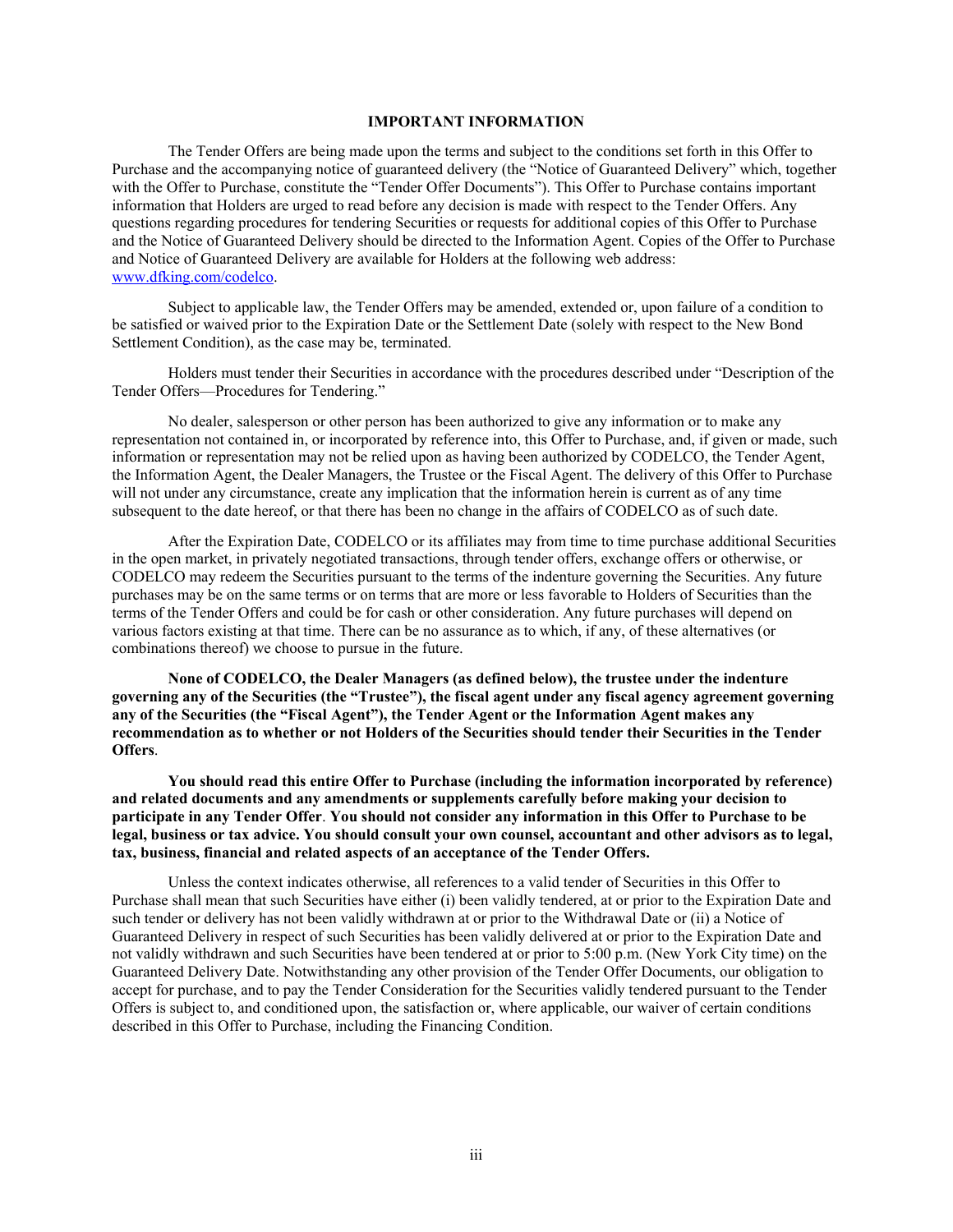# **IMPORTANT INFORMATION**

The Tender Offers are being made upon the terms and subject to the conditions set forth in this Offer to Purchase and the accompanying notice of guaranteed delivery (the "Notice of Guaranteed Delivery" which, together with the Offer to Purchase, constitute the "Tender Offer Documents"). This Offer to Purchase contains important information that Holders are urged to read before any decision is made with respect to the Tender Offers. Any questions regarding procedures for tendering Securities or requests for additional copies of this Offer to Purchase and the Notice of Guaranteed Delivery should be directed to the Information Agent. Copies of the Offer to Purchase and Notice of Guaranteed Delivery are available for Holders at the following web address: www.dfking.com/codelco.

Subject to applicable law, the Tender Offers may be amended, extended or, upon failure of a condition to be satisfied or waived prior to the Expiration Date or the Settlement Date (solely with respect to the New Bond Settlement Condition), as the case may be, terminated.

Holders must tender their Securities in accordance with the procedures described under "Description of the Tender Offers—Procedures for Tendering."

No dealer, salesperson or other person has been authorized to give any information or to make any representation not contained in, or incorporated by reference into, this Offer to Purchase, and, if given or made, such information or representation may not be relied upon as having been authorized by CODELCO, the Tender Agent, the Information Agent, the Dealer Managers, the Trustee or the Fiscal Agent. The delivery of this Offer to Purchase will not under any circumstance, create any implication that the information herein is current as of any time subsequent to the date hereof, or that there has been no change in the affairs of CODELCO as of such date.

After the Expiration Date, CODELCO or its affiliates may from time to time purchase additional Securities in the open market, in privately negotiated transactions, through tender offers, exchange offers or otherwise, or CODELCO may redeem the Securities pursuant to the terms of the indenture governing the Securities. Any future purchases may be on the same terms or on terms that are more or less favorable to Holders of Securities than the terms of the Tender Offers and could be for cash or other consideration. Any future purchases will depend on various factors existing at that time. There can be no assurance as to which, if any, of these alternatives (or combinations thereof) we choose to pursue in the future.

**None of CODELCO, the Dealer Managers (as defined below), the trustee under the indenture governing any of the Securities (the "Trustee"), the fiscal agent under any fiscal agency agreement governing any of the Securities (the "Fiscal Agent"), the Tender Agent or the Information Agent makes any recommendation as to whether or not Holders of the Securities should tender their Securities in the Tender Offers**.

**You should read this entire Offer to Purchase (including the information incorporated by reference) and related documents and any amendments or supplements carefully before making your decision to participate in any Tender Offer**. **You should not consider any information in this Offer to Purchase to be legal, business or tax advice. You should consult your own counsel, accountant and other advisors as to legal, tax, business, financial and related aspects of an acceptance of the Tender Offers.** 

Unless the context indicates otherwise, all references to a valid tender of Securities in this Offer to Purchase shall mean that such Securities have either (i) been validly tendered, at or prior to the Expiration Date and such tender or delivery has not been validly withdrawn at or prior to the Withdrawal Date or (ii) a Notice of Guaranteed Delivery in respect of such Securities has been validly delivered at or prior to the Expiration Date and not validly withdrawn and such Securities have been tendered at or prior to 5:00 p.m. (New York City time) on the Guaranteed Delivery Date. Notwithstanding any other provision of the Tender Offer Documents, our obligation to accept for purchase, and to pay the Tender Consideration for the Securities validly tendered pursuant to the Tender Offers is subject to, and conditioned upon, the satisfaction or, where applicable, our waiver of certain conditions described in this Offer to Purchase, including the Financing Condition.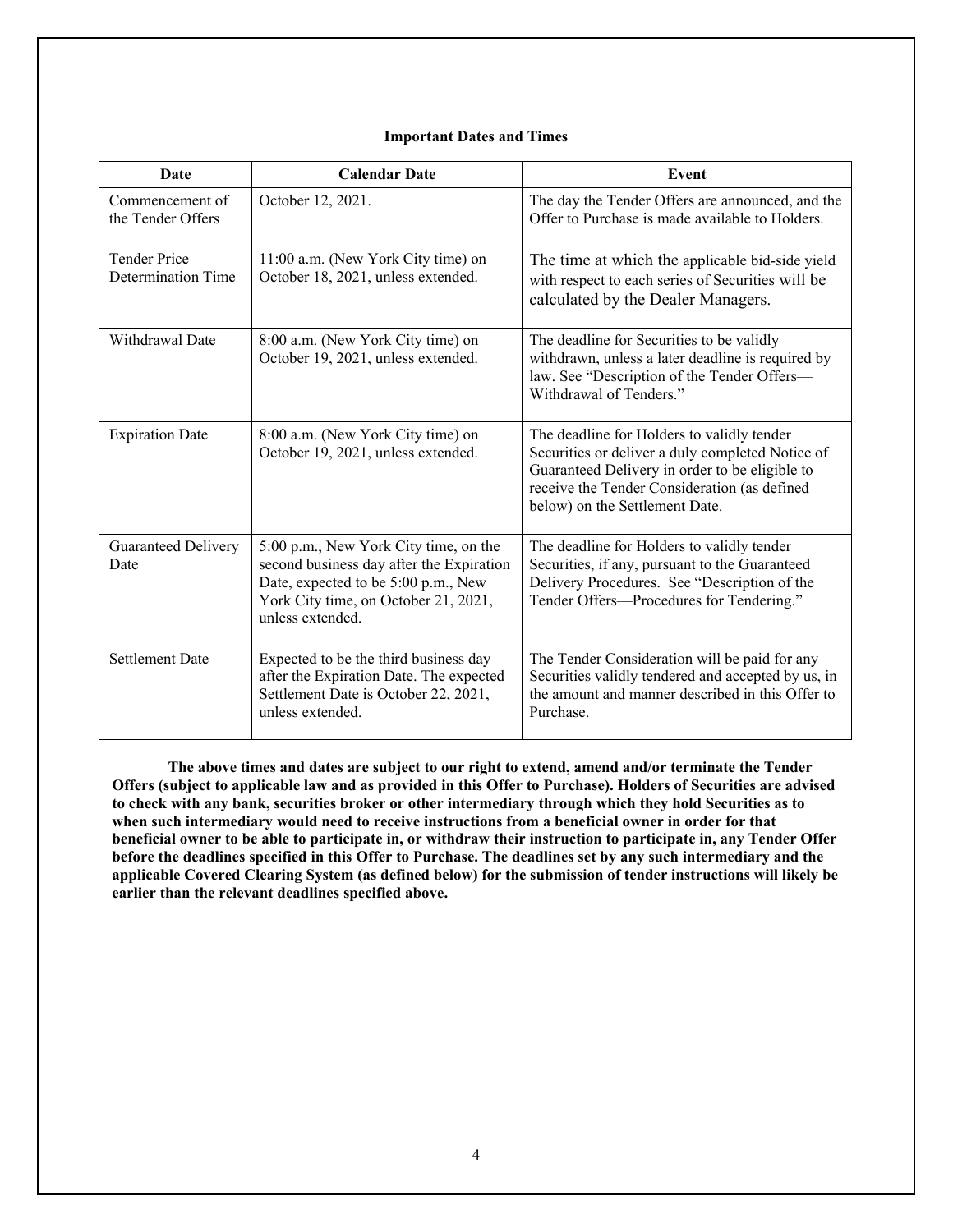#### **Date** Calendar Date **Event** Commencement of the Tender Offers October 12, 2021. The day the Tender Offers are announced, and the Offer to Purchase is made available to Holders. Tender Price Determination Time 11:00 a.m. (New York City time) on October 18, 2021, unless extended. The time at which the applicable bid-side yield with respect to each series of Securities will be calculated by the Dealer Managers. Withdrawal Date  $8:00$  a.m. (New York City time) on October 19, 2021, unless extended. The deadline for Securities to be validly withdrawn, unless a later deadline is required by law. See "Description of the Tender Offers— Withdrawal of Tenders." Expiration Date  $8:00$  a.m. (New York City time) on October 19, 2021, unless extended. The deadline for Holders to validly tender Securities or deliver a duly completed Notice of Guaranteed Delivery in order to be eligible to receive the Tender Consideration (as defined below) on the Settlement Date.

The deadline for Holders to validly tender Securities, if any, pursuant to the Guaranteed Delivery Procedures. See "Description of the Tender Offers—Procedures for Tendering."

The Tender Consideration will be paid for any Securities validly tendered and accepted by us, in the amount and manner described in this Offer to

5:00 p.m., New York City time, on the second business day after the Expiration Date, expected to be 5:00 p.m., New York City time, on October 21, 2021,

after the Expiration Date. The expected Settlement Date is October 22, 2021,

unless extended.

unless extended.

Settlement Date Expected to be the third business day

Guaranteed Delivery

Date

# **Important Dates and Times**

**The above times and dates are subject to our right to extend, amend and/or terminate the Tender Offers (subject to applicable law and as provided in this Offer to Purchase). Holders of Securities are advised to check with any bank, securities broker or other intermediary through which they hold Securities as to when such intermediary would need to receive instructions from a beneficial owner in order for that beneficial owner to be able to participate in, or withdraw their instruction to participate in, any Tender Offer before the deadlines specified in this Offer to Purchase. The deadlines set by any such intermediary and the applicable Covered Clearing System (as defined below) for the submission of tender instructions will likely be earlier than the relevant deadlines specified above.** 

Purchase.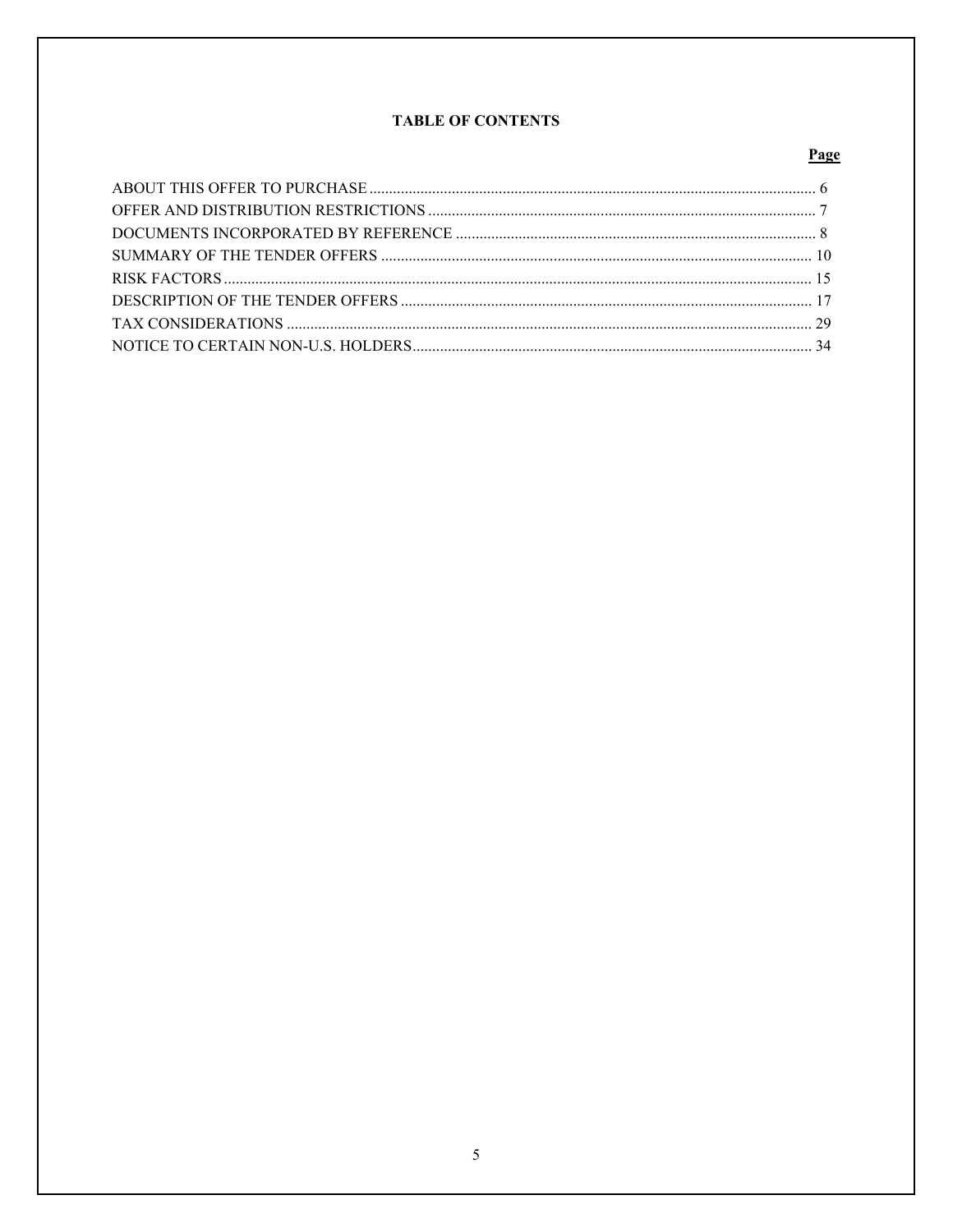# **TABLE OF CONTENTS**

# Page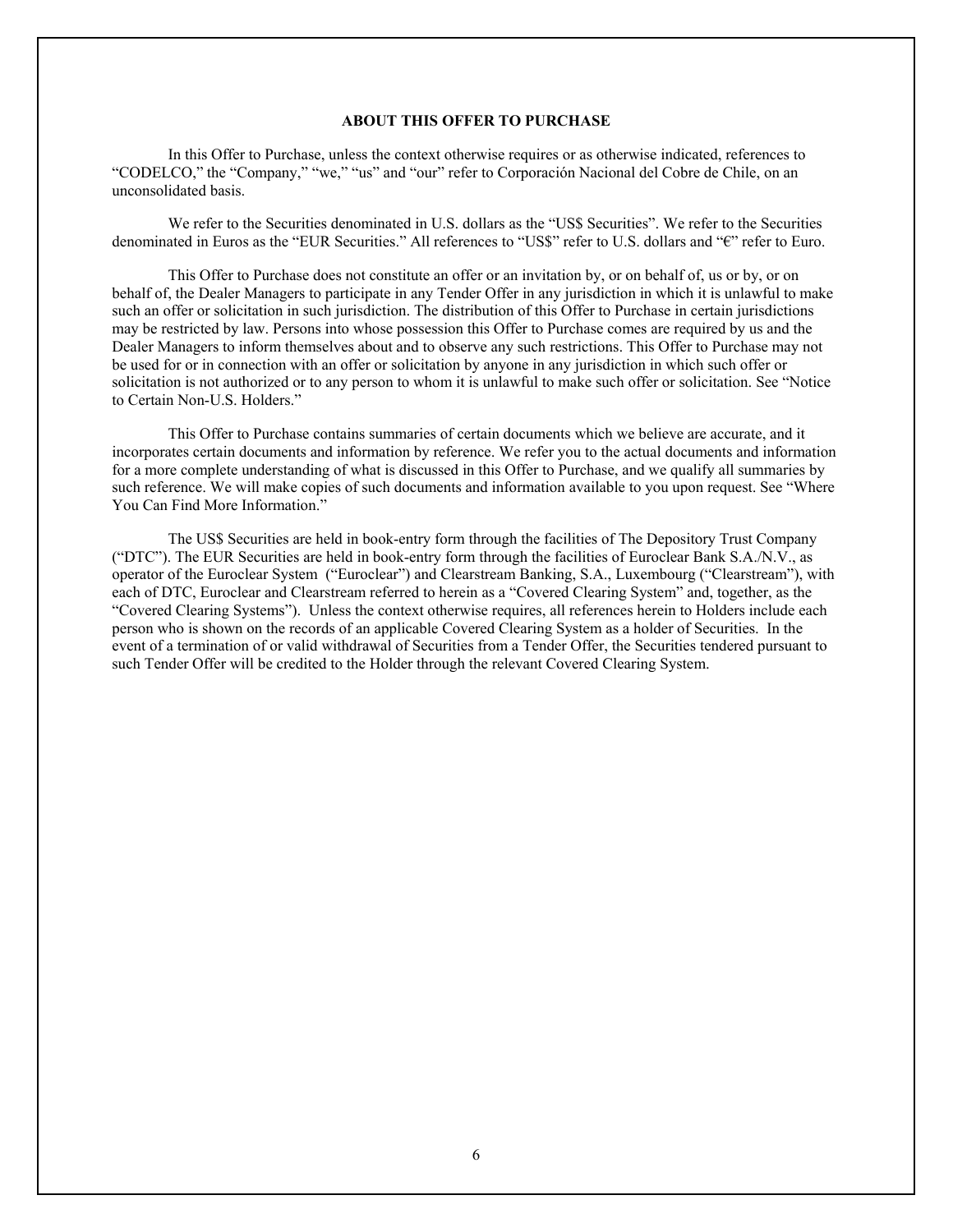# **ABOUT THIS OFFER TO PURCHASE**

In this Offer to Purchase, unless the context otherwise requires or as otherwise indicated, references to "CODELCO," the "Company," "we," "us" and "our" refer to Corporación Nacional del Cobre de Chile, on an unconsolidated basis.

We refer to the Securities denominated in U.S. dollars as the "US\$ Securities". We refer to the Securities denominated in Euros as the "EUR Securities." All references to "US\$" refer to U.S. dollars and "€" refer to Euro.

This Offer to Purchase does not constitute an offer or an invitation by, or on behalf of, us or by, or on behalf of, the Dealer Managers to participate in any Tender Offer in any jurisdiction in which it is unlawful to make such an offer or solicitation in such jurisdiction. The distribution of this Offer to Purchase in certain jurisdictions may be restricted by law. Persons into whose possession this Offer to Purchase comes are required by us and the Dealer Managers to inform themselves about and to observe any such restrictions. This Offer to Purchase may not be used for or in connection with an offer or solicitation by anyone in any jurisdiction in which such offer or solicitation is not authorized or to any person to whom it is unlawful to make such offer or solicitation. See "Notice to Certain Non-U.S. Holders."

This Offer to Purchase contains summaries of certain documents which we believe are accurate, and it incorporates certain documents and information by reference. We refer you to the actual documents and information for a more complete understanding of what is discussed in this Offer to Purchase, and we qualify all summaries by such reference. We will make copies of such documents and information available to you upon request. See "Where You Can Find More Information."

The US\$ Securities are held in book-entry form through the facilities of The Depository Trust Company ("DTC"). The EUR Securities are held in book-entry form through the facilities of Euroclear Bank S.A./N.V., as operator of the Euroclear System ("Euroclear") and Clearstream Banking, S.A., Luxembourg ("Clearstream"), with each of DTC, Euroclear and Clearstream referred to herein as a "Covered Clearing System" and, together, as the "Covered Clearing Systems"). Unless the context otherwise requires, all references herein to Holders include each person who is shown on the records of an applicable Covered Clearing System as a holder of Securities. In the event of a termination of or valid withdrawal of Securities from a Tender Offer, the Securities tendered pursuant to such Tender Offer will be credited to the Holder through the relevant Covered Clearing System.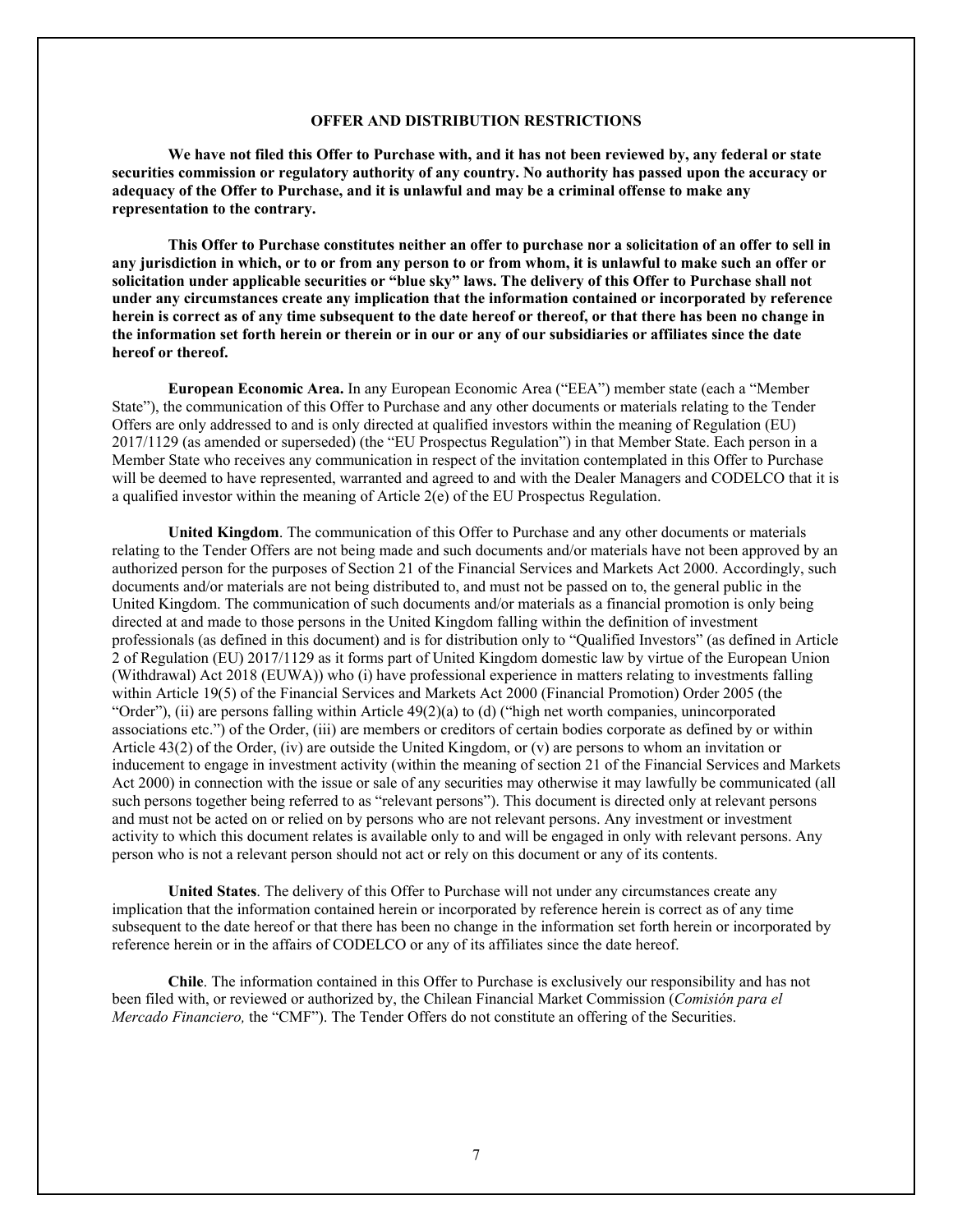## **OFFER AND DISTRIBUTION RESTRICTIONS**

**We have not filed this Offer to Purchase with, and it has not been reviewed by, any federal or state securities commission or regulatory authority of any country. No authority has passed upon the accuracy or adequacy of the Offer to Purchase, and it is unlawful and may be a criminal offense to make any representation to the contrary.** 

**This Offer to Purchase constitutes neither an offer to purchase nor a solicitation of an offer to sell in any jurisdiction in which, or to or from any person to or from whom, it is unlawful to make such an offer or solicitation under applicable securities or "blue sky" laws. The delivery of this Offer to Purchase shall not under any circumstances create any implication that the information contained or incorporated by reference herein is correct as of any time subsequent to the date hereof or thereof, or that there has been no change in the information set forth herein or therein or in our or any of our subsidiaries or affiliates since the date hereof or thereof.** 

**European Economic Area.** In any European Economic Area ("EEA") member state (each a "Member State"), the communication of this Offer to Purchase and any other documents or materials relating to the Tender Offers are only addressed to and is only directed at qualified investors within the meaning of Regulation (EU) 2017/1129 (as amended or superseded) (the "EU Prospectus Regulation") in that Member State. Each person in a Member State who receives any communication in respect of the invitation contemplated in this Offer to Purchase will be deemed to have represented, warranted and agreed to and with the Dealer Managers and CODELCO that it is a qualified investor within the meaning of Article 2(e) of the EU Prospectus Regulation.

**United Kingdom**. The communication of this Offer to Purchase and any other documents or materials relating to the Tender Offers are not being made and such documents and/or materials have not been approved by an authorized person for the purposes of Section 21 of the Financial Services and Markets Act 2000. Accordingly, such documents and/or materials are not being distributed to, and must not be passed on to, the general public in the United Kingdom. The communication of such documents and/or materials as a financial promotion is only being directed at and made to those persons in the United Kingdom falling within the definition of investment professionals (as defined in this document) and is for distribution only to "Qualified Investors" (as defined in Article 2 of Regulation (EU) 2017/1129 as it forms part of United Kingdom domestic law by virtue of the European Union (Withdrawal) Act 2018 (EUWA)) who (i) have professional experience in matters relating to investments falling within Article 19(5) of the Financial Services and Markets Act 2000 (Financial Promotion) Order 2005 (the "Order"), (ii) are persons falling within Article 49(2)(a) to (d) ("high net worth companies, unincorporated associations etc.") of the Order, (iii) are members or creditors of certain bodies corporate as defined by or within Article 43(2) of the Order, (iv) are outside the United Kingdom, or (v) are persons to whom an invitation or inducement to engage in investment activity (within the meaning of section 21 of the Financial Services and Markets Act 2000) in connection with the issue or sale of any securities may otherwise it may lawfully be communicated (all such persons together being referred to as "relevant persons"). This document is directed only at relevant persons and must not be acted on or relied on by persons who are not relevant persons. Any investment or investment activity to which this document relates is available only to and will be engaged in only with relevant persons. Any person who is not a relevant person should not act or rely on this document or any of its contents.

**United States**. The delivery of this Offer to Purchase will not under any circumstances create any implication that the information contained herein or incorporated by reference herein is correct as of any time subsequent to the date hereof or that there has been no change in the information set forth herein or incorporated by reference herein or in the affairs of CODELCO or any of its affiliates since the date hereof.

**Chile**. The information contained in this Offer to Purchase is exclusively our responsibility and has not been filed with, or reviewed or authorized by, the Chilean Financial Market Commission (*Comisión para el Mercado Financiero,* the "CMF"). The Tender Offers do not constitute an offering of the Securities.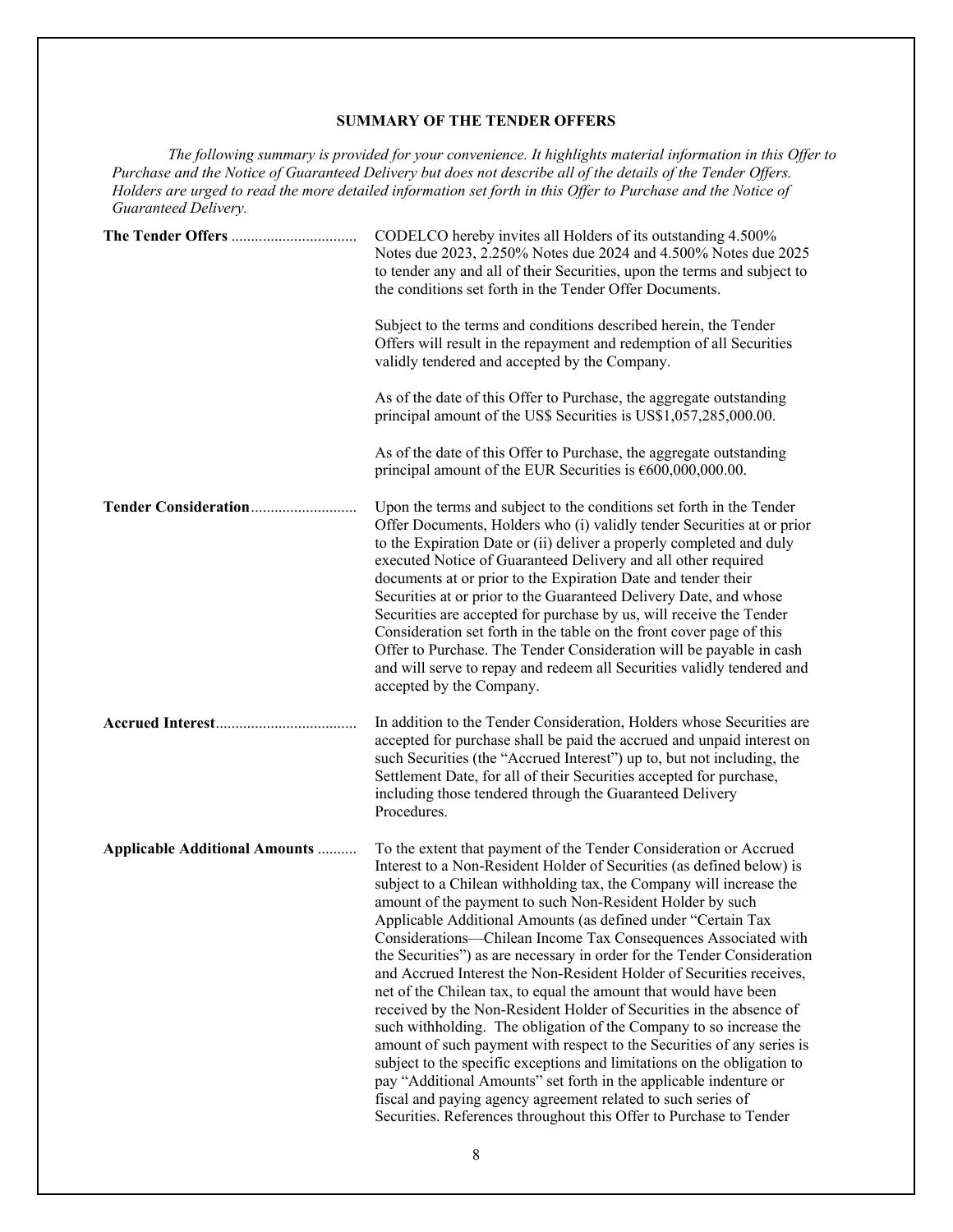# **SUMMARY OF THE TENDER OFFERS**

*The following summary is provided for your convenience. It highlights material information in this Offer to Purchase and the Notice of Guaranteed Delivery but does not describe all of the details of the Tender Offers. Holders are urged to read the more detailed information set forth in this Offer to Purchase and the Notice of Guaranteed Delivery.* 

|                                       | CODELCO hereby invites all Holders of its outstanding 4.500%<br>Notes due 2023, 2.250% Notes due 2024 and 4.500% Notes due 2025<br>to tender any and all of their Securities, upon the terms and subject to<br>the conditions set forth in the Tender Offer Documents.<br>Subject to the terms and conditions described herein, the Tender<br>Offers will result in the repayment and redemption of all Securities<br>validly tendered and accepted by the Company.<br>As of the date of this Offer to Purchase, the aggregate outstanding<br>principal amount of the US\$ Securities is US\$1,057,285,000.00.                                                                                                                                                                                                                                                                                                                                                                                                                                                                                                                                       |
|---------------------------------------|------------------------------------------------------------------------------------------------------------------------------------------------------------------------------------------------------------------------------------------------------------------------------------------------------------------------------------------------------------------------------------------------------------------------------------------------------------------------------------------------------------------------------------------------------------------------------------------------------------------------------------------------------------------------------------------------------------------------------------------------------------------------------------------------------------------------------------------------------------------------------------------------------------------------------------------------------------------------------------------------------------------------------------------------------------------------------------------------------------------------------------------------------|
|                                       | As of the date of this Offer to Purchase, the aggregate outstanding<br>principal amount of the EUR Securities is $\epsilon$ 600,000,000.00.                                                                                                                                                                                                                                                                                                                                                                                                                                                                                                                                                                                                                                                                                                                                                                                                                                                                                                                                                                                                          |
|                                       | Upon the terms and subject to the conditions set forth in the Tender<br>Offer Documents, Holders who (i) validly tender Securities at or prior<br>to the Expiration Date or (ii) deliver a properly completed and duly<br>executed Notice of Guaranteed Delivery and all other required<br>documents at or prior to the Expiration Date and tender their<br>Securities at or prior to the Guaranteed Delivery Date, and whose<br>Securities are accepted for purchase by us, will receive the Tender<br>Consideration set forth in the table on the front cover page of this<br>Offer to Purchase. The Tender Consideration will be payable in cash<br>and will serve to repay and redeem all Securities validly tendered and<br>accepted by the Company.                                                                                                                                                                                                                                                                                                                                                                                            |
|                                       | In addition to the Tender Consideration, Holders whose Securities are<br>accepted for purchase shall be paid the accrued and unpaid interest on<br>such Securities (the "Accrued Interest") up to, but not including, the<br>Settlement Date, for all of their Securities accepted for purchase,<br>including those tendered through the Guaranteed Delivery<br>Procedures.                                                                                                                                                                                                                                                                                                                                                                                                                                                                                                                                                                                                                                                                                                                                                                          |
| <b>Applicable Additional Amounts </b> | To the extent that payment of the Tender Consideration or Accrued<br>Interest to a Non-Resident Holder of Securities (as defined below) is<br>subject to a Chilean withholding tax, the Company will increase the<br>amount of the payment to such Non-Resident Holder by such<br>Applicable Additional Amounts (as defined under "Certain Tax<br>Considerations-Chilean Income Tax Consequences Associated with<br>the Securities") as are necessary in order for the Tender Consideration<br>and Accrued Interest the Non-Resident Holder of Securities receives,<br>net of the Chilean tax, to equal the amount that would have been<br>received by the Non-Resident Holder of Securities in the absence of<br>such withholding. The obligation of the Company to so increase the<br>amount of such payment with respect to the Securities of any series is<br>subject to the specific exceptions and limitations on the obligation to<br>pay "Additional Amounts" set forth in the applicable indenture or<br>fiscal and paying agency agreement related to such series of<br>Securities. References throughout this Offer to Purchase to Tender |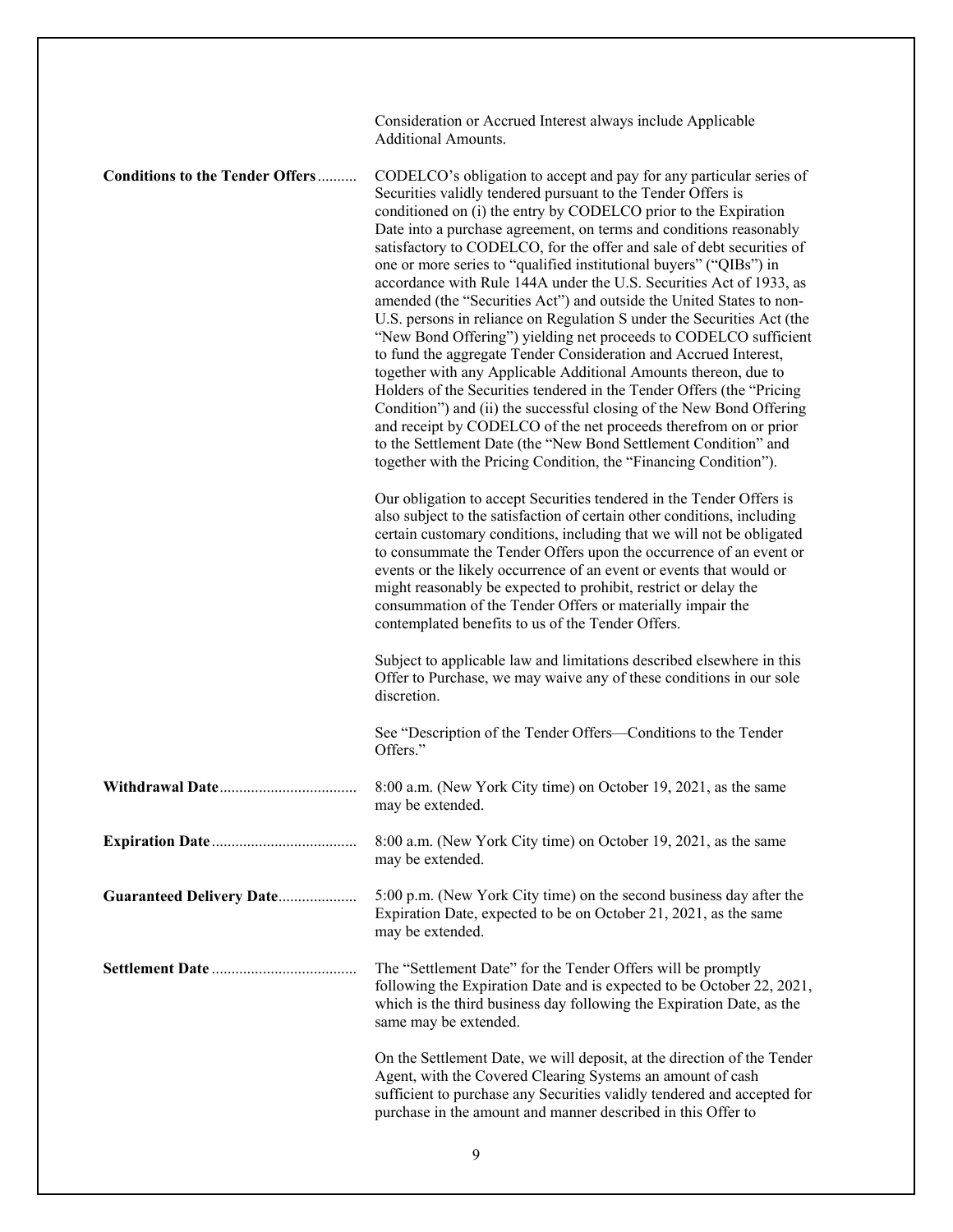|                                        | Consideration or Accrued Interest always include Applicable<br><b>Additional Amounts.</b>                                                                                                                                                                                                                                                                                                                                                                                                                                                                                                                                                                                                                                                                                                                                                                                                                                                                                                                                                                                                                                                                                                                                   |
|----------------------------------------|-----------------------------------------------------------------------------------------------------------------------------------------------------------------------------------------------------------------------------------------------------------------------------------------------------------------------------------------------------------------------------------------------------------------------------------------------------------------------------------------------------------------------------------------------------------------------------------------------------------------------------------------------------------------------------------------------------------------------------------------------------------------------------------------------------------------------------------------------------------------------------------------------------------------------------------------------------------------------------------------------------------------------------------------------------------------------------------------------------------------------------------------------------------------------------------------------------------------------------|
| <b>Conditions to the Tender Offers</b> | CODELCO's obligation to accept and pay for any particular series of<br>Securities validly tendered pursuant to the Tender Offers is<br>conditioned on (i) the entry by CODELCO prior to the Expiration<br>Date into a purchase agreement, on terms and conditions reasonably<br>satisfactory to CODELCO, for the offer and sale of debt securities of<br>one or more series to "qualified institutional buyers" ("QIBs") in<br>accordance with Rule 144A under the U.S. Securities Act of 1933, as<br>amended (the "Securities Act") and outside the United States to non-<br>U.S. persons in reliance on Regulation S under the Securities Act (the<br>"New Bond Offering") yielding net proceeds to CODELCO sufficient<br>to fund the aggregate Tender Consideration and Accrued Interest,<br>together with any Applicable Additional Amounts thereon, due to<br>Holders of the Securities tendered in the Tender Offers (the "Pricing<br>Condition") and (ii) the successful closing of the New Bond Offering<br>and receipt by CODELCO of the net proceeds therefrom on or prior<br>to the Settlement Date (the "New Bond Settlement Condition" and<br>together with the Pricing Condition, the "Financing Condition"). |
|                                        | Our obligation to accept Securities tendered in the Tender Offers is<br>also subject to the satisfaction of certain other conditions, including<br>certain customary conditions, including that we will not be obligated<br>to consummate the Tender Offers upon the occurrence of an event or<br>events or the likely occurrence of an event or events that would or<br>might reasonably be expected to prohibit, restrict or delay the<br>consummation of the Tender Offers or materially impair the<br>contemplated benefits to us of the Tender Offers.                                                                                                                                                                                                                                                                                                                                                                                                                                                                                                                                                                                                                                                                 |
|                                        | Subject to applicable law and limitations described elsewhere in this<br>Offer to Purchase, we may waive any of these conditions in our sole<br>discretion.                                                                                                                                                                                                                                                                                                                                                                                                                                                                                                                                                                                                                                                                                                                                                                                                                                                                                                                                                                                                                                                                 |
|                                        | See "Description of the Tender Offers-Conditions to the Tender<br>Offers."                                                                                                                                                                                                                                                                                                                                                                                                                                                                                                                                                                                                                                                                                                                                                                                                                                                                                                                                                                                                                                                                                                                                                  |
|                                        | 8:00 a.m. (New York City time) on October 19, 2021, as the same<br>may be extended.                                                                                                                                                                                                                                                                                                                                                                                                                                                                                                                                                                                                                                                                                                                                                                                                                                                                                                                                                                                                                                                                                                                                         |
|                                        | 8:00 a.m. (New York City time) on October 19, 2021, as the same<br>may be extended.                                                                                                                                                                                                                                                                                                                                                                                                                                                                                                                                                                                                                                                                                                                                                                                                                                                                                                                                                                                                                                                                                                                                         |
| <b>Guaranteed Delivery Date</b>        | 5:00 p.m. (New York City time) on the second business day after the<br>Expiration Date, expected to be on October 21, 2021, as the same<br>may be extended.                                                                                                                                                                                                                                                                                                                                                                                                                                                                                                                                                                                                                                                                                                                                                                                                                                                                                                                                                                                                                                                                 |
|                                        | The "Settlement Date" for the Tender Offers will be promptly<br>following the Expiration Date and is expected to be October 22, 2021,<br>which is the third business day following the Expiration Date, as the<br>same may be extended.                                                                                                                                                                                                                                                                                                                                                                                                                                                                                                                                                                                                                                                                                                                                                                                                                                                                                                                                                                                     |
|                                        | On the Settlement Date, we will deposit, at the direction of the Tender<br>Agent, with the Covered Clearing Systems an amount of cash<br>sufficient to purchase any Securities validly tendered and accepted for<br>purchase in the amount and manner described in this Offer to                                                                                                                                                                                                                                                                                                                                                                                                                                                                                                                                                                                                                                                                                                                                                                                                                                                                                                                                            |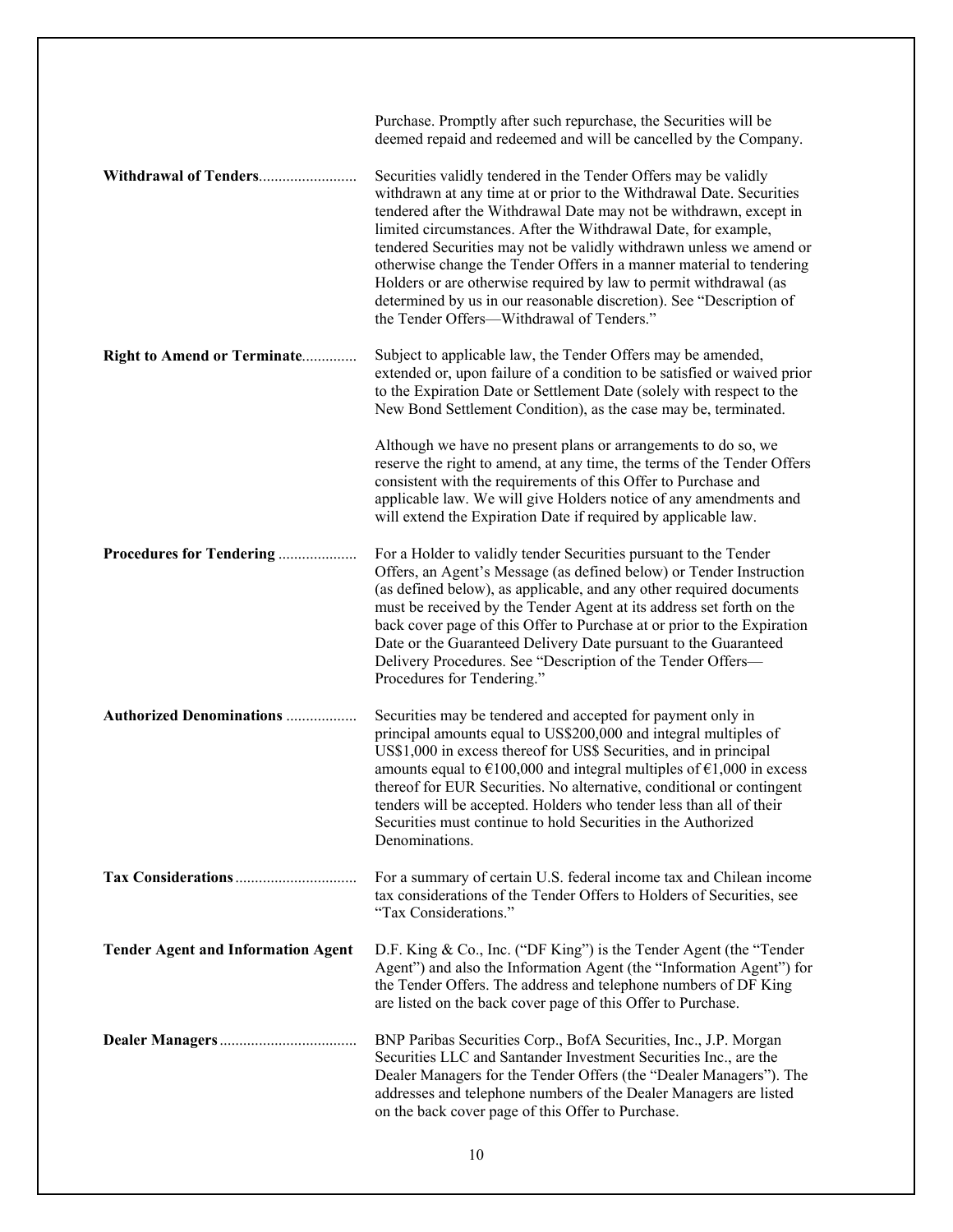|                                           | Purchase. Promptly after such repurchase, the Securities will be<br>deemed repaid and redeemed and will be cancelled by the Company.                                                                                                                                                                                                                                                                                                                                                                                                                                                                                    |
|-------------------------------------------|-------------------------------------------------------------------------------------------------------------------------------------------------------------------------------------------------------------------------------------------------------------------------------------------------------------------------------------------------------------------------------------------------------------------------------------------------------------------------------------------------------------------------------------------------------------------------------------------------------------------------|
| Withdrawal of Tenders                     | Securities validly tendered in the Tender Offers may be validly<br>withdrawn at any time at or prior to the Withdrawal Date. Securities<br>tendered after the Withdrawal Date may not be withdrawn, except in<br>limited circumstances. After the Withdrawal Date, for example,<br>tendered Securities may not be validly withdrawn unless we amend or<br>otherwise change the Tender Offers in a manner material to tendering<br>Holders or are otherwise required by law to permit withdrawal (as<br>determined by us in our reasonable discretion). See "Description of<br>the Tender Offers-Withdrawal of Tenders." |
| Right to Amend or Terminate               | Subject to applicable law, the Tender Offers may be amended,<br>extended or, upon failure of a condition to be satisfied or waived prior<br>to the Expiration Date or Settlement Date (solely with respect to the<br>New Bond Settlement Condition), as the case may be, terminated.                                                                                                                                                                                                                                                                                                                                    |
|                                           | Although we have no present plans or arrangements to do so, we<br>reserve the right to amend, at any time, the terms of the Tender Offers<br>consistent with the requirements of this Offer to Purchase and<br>applicable law. We will give Holders notice of any amendments and<br>will extend the Expiration Date if required by applicable law.                                                                                                                                                                                                                                                                      |
| Procedures for Tendering                  | For a Holder to validly tender Securities pursuant to the Tender<br>Offers, an Agent's Message (as defined below) or Tender Instruction<br>(as defined below), as applicable, and any other required documents<br>must be received by the Tender Agent at its address set forth on the<br>back cover page of this Offer to Purchase at or prior to the Expiration<br>Date or the Guaranteed Delivery Date pursuant to the Guaranteed<br>Delivery Procedures. See "Description of the Tender Offers-<br>Procedures for Tendering."                                                                                       |
| <b>Authorized Denominations </b>          | Securities may be tendered and accepted for payment only in<br>principal amounts equal to US\$200,000 and integral multiples of<br>US\$1,000 in excess thereof for US\$ Securities, and in principal<br>amounts equal to $\epsilon$ 100,000 and integral multiples of $\epsilon$ 1,000 in excess<br>thereof for EUR Securities. No alternative, conditional or contingent<br>tenders will be accepted. Holders who tender less than all of their<br>Securities must continue to hold Securities in the Authorized<br>Denominations.                                                                                     |
|                                           | For a summary of certain U.S. federal income tax and Chilean income<br>tax considerations of the Tender Offers to Holders of Securities, see<br>"Tax Considerations."                                                                                                                                                                                                                                                                                                                                                                                                                                                   |
| <b>Tender Agent and Information Agent</b> | D.F. King & Co., Inc. ("DF King") is the Tender Agent (the "Tender<br>Agent") and also the Information Agent (the "Information Agent") for<br>the Tender Offers. The address and telephone numbers of DF King<br>are listed on the back cover page of this Offer to Purchase.                                                                                                                                                                                                                                                                                                                                           |
|                                           | BNP Paribas Securities Corp., BofA Securities, Inc., J.P. Morgan<br>Securities LLC and Santander Investment Securities Inc., are the<br>Dealer Managers for the Tender Offers (the "Dealer Managers"). The<br>addresses and telephone numbers of the Dealer Managers are listed<br>on the back cover page of this Offer to Purchase.                                                                                                                                                                                                                                                                                    |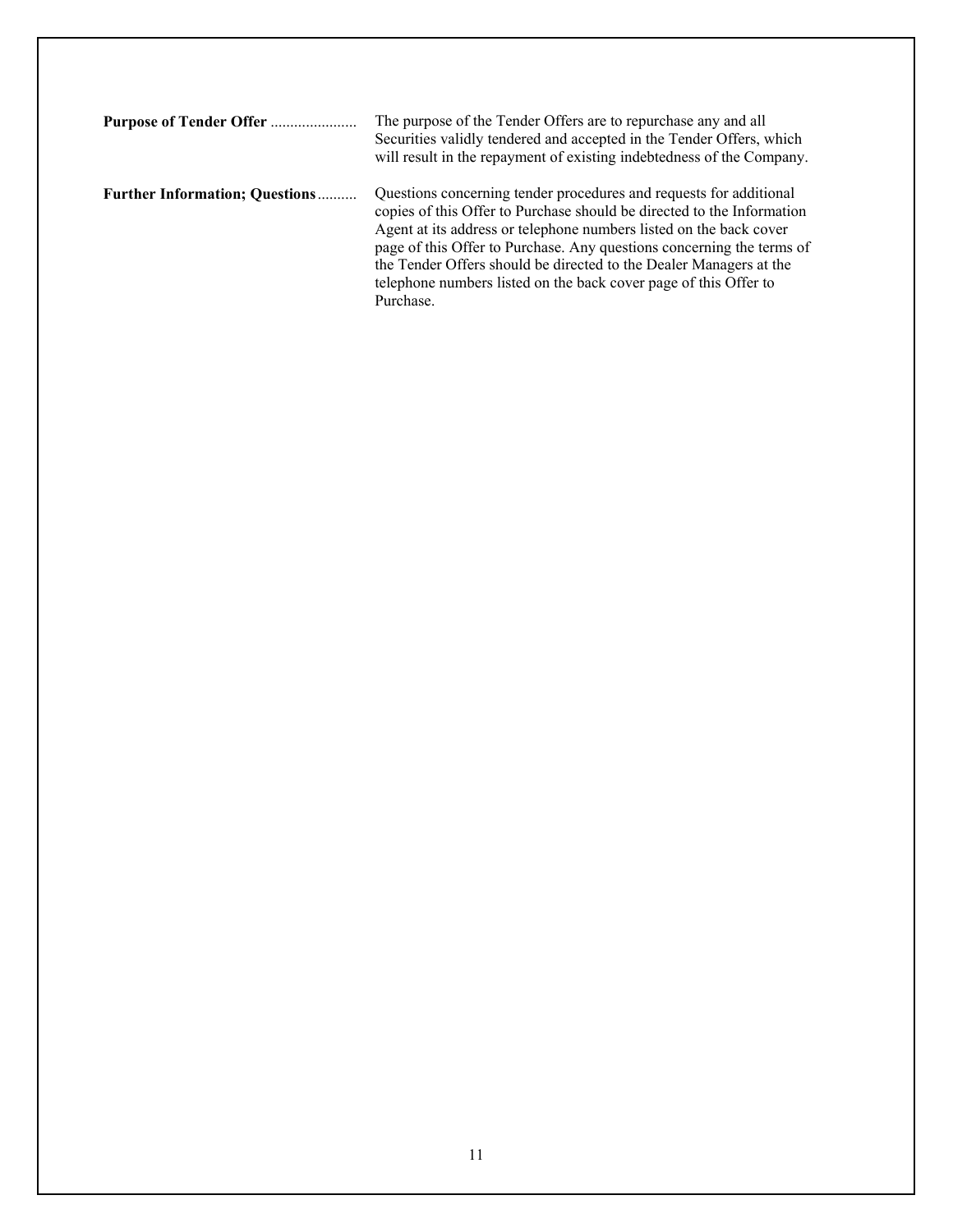| Purpose of Tender Offer               | The purpose of the Tender Offers are to repurchase any and all<br>Securities validly tendered and accepted in the Tender Offers, which<br>will result in the repayment of existing indebtedness of the Company.                                                                                                                                                                                                                                    |
|---------------------------------------|----------------------------------------------------------------------------------------------------------------------------------------------------------------------------------------------------------------------------------------------------------------------------------------------------------------------------------------------------------------------------------------------------------------------------------------------------|
| <b>Further Information: Questions</b> | Questions concerning tender procedures and requests for additional<br>copies of this Offer to Purchase should be directed to the Information<br>Agent at its address or telephone numbers listed on the back cover<br>page of this Offer to Purchase. Any questions concerning the terms of<br>the Tender Offers should be directed to the Dealer Managers at the<br>telephone numbers listed on the back cover page of this Offer to<br>Purchase. |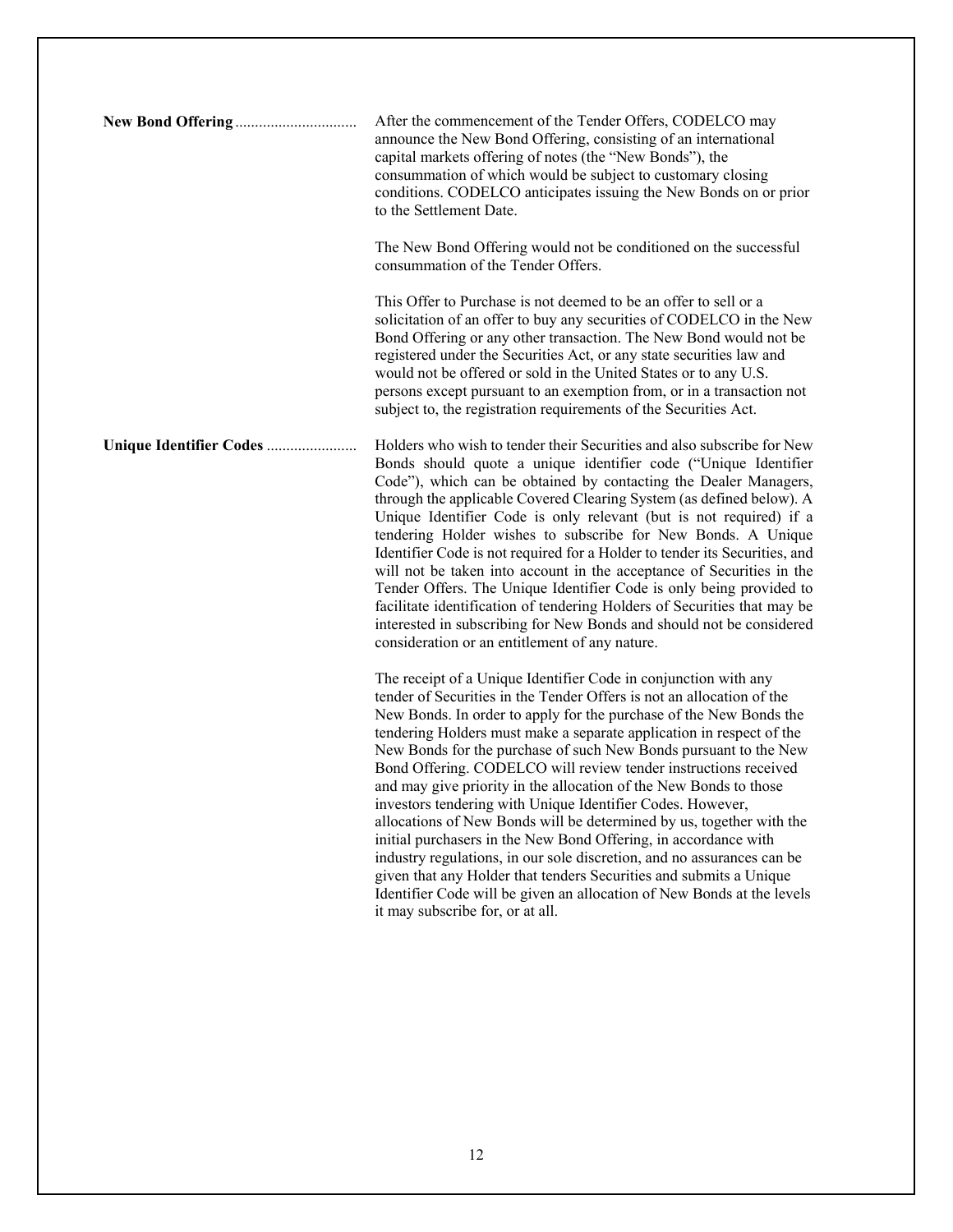| After the commencement of the Tender Offers, CODELCO may<br>announce the New Bond Offering, consisting of an international<br>capital markets offering of notes (the "New Bonds"), the<br>consummation of which would be subject to customary closing<br>conditions. CODELCO anticipates issuing the New Bonds on or prior<br>to the Settlement Date.                                                                                                                                                                                                                                                                                                                                                                                                                                                                                                                                                                                                                     |
|---------------------------------------------------------------------------------------------------------------------------------------------------------------------------------------------------------------------------------------------------------------------------------------------------------------------------------------------------------------------------------------------------------------------------------------------------------------------------------------------------------------------------------------------------------------------------------------------------------------------------------------------------------------------------------------------------------------------------------------------------------------------------------------------------------------------------------------------------------------------------------------------------------------------------------------------------------------------------|
| The New Bond Offering would not be conditioned on the successful<br>consummation of the Tender Offers.                                                                                                                                                                                                                                                                                                                                                                                                                                                                                                                                                                                                                                                                                                                                                                                                                                                                    |
| This Offer to Purchase is not deemed to be an offer to sell or a<br>solicitation of an offer to buy any securities of CODELCO in the New<br>Bond Offering or any other transaction. The New Bond would not be<br>registered under the Securities Act, or any state securities law and<br>would not be offered or sold in the United States or to any U.S.<br>persons except pursuant to an exemption from, or in a transaction not<br>subject to, the registration requirements of the Securities Act.                                                                                                                                                                                                                                                                                                                                                                                                                                                                    |
| Holders who wish to tender their Securities and also subscribe for New<br>Bonds should quote a unique identifier code ("Unique Identifier<br>Code"), which can be obtained by contacting the Dealer Managers,<br>through the applicable Covered Clearing System (as defined below). A<br>Unique Identifier Code is only relevant (but is not required) if a<br>tendering Holder wishes to subscribe for New Bonds. A Unique<br>Identifier Code is not required for a Holder to tender its Securities, and<br>will not be taken into account in the acceptance of Securities in the<br>Tender Offers. The Unique Identifier Code is only being provided to<br>facilitate identification of tendering Holders of Securities that may be<br>interested in subscribing for New Bonds and should not be considered<br>consideration or an entitlement of any nature.                                                                                                           |
| The receipt of a Unique Identifier Code in conjunction with any<br>tender of Securities in the Tender Offers is not an allocation of the<br>New Bonds. In order to apply for the purchase of the New Bonds the<br>tendering Holders must make a separate application in respect of the<br>New Bonds for the purchase of such New Bonds pursuant to the New<br>Bond Offering. CODELCO will review tender instructions received<br>and may give priority in the allocation of the New Bonds to those<br>investors tendering with Unique Identifier Codes. However,<br>allocations of New Bonds will be determined by us, together with the<br>initial purchasers in the New Bond Offering, in accordance with<br>industry regulations, in our sole discretion, and no assurances can be<br>given that any Holder that tenders Securities and submits a Unique<br>Identifier Code will be given an allocation of New Bonds at the levels<br>it may subscribe for, or at all. |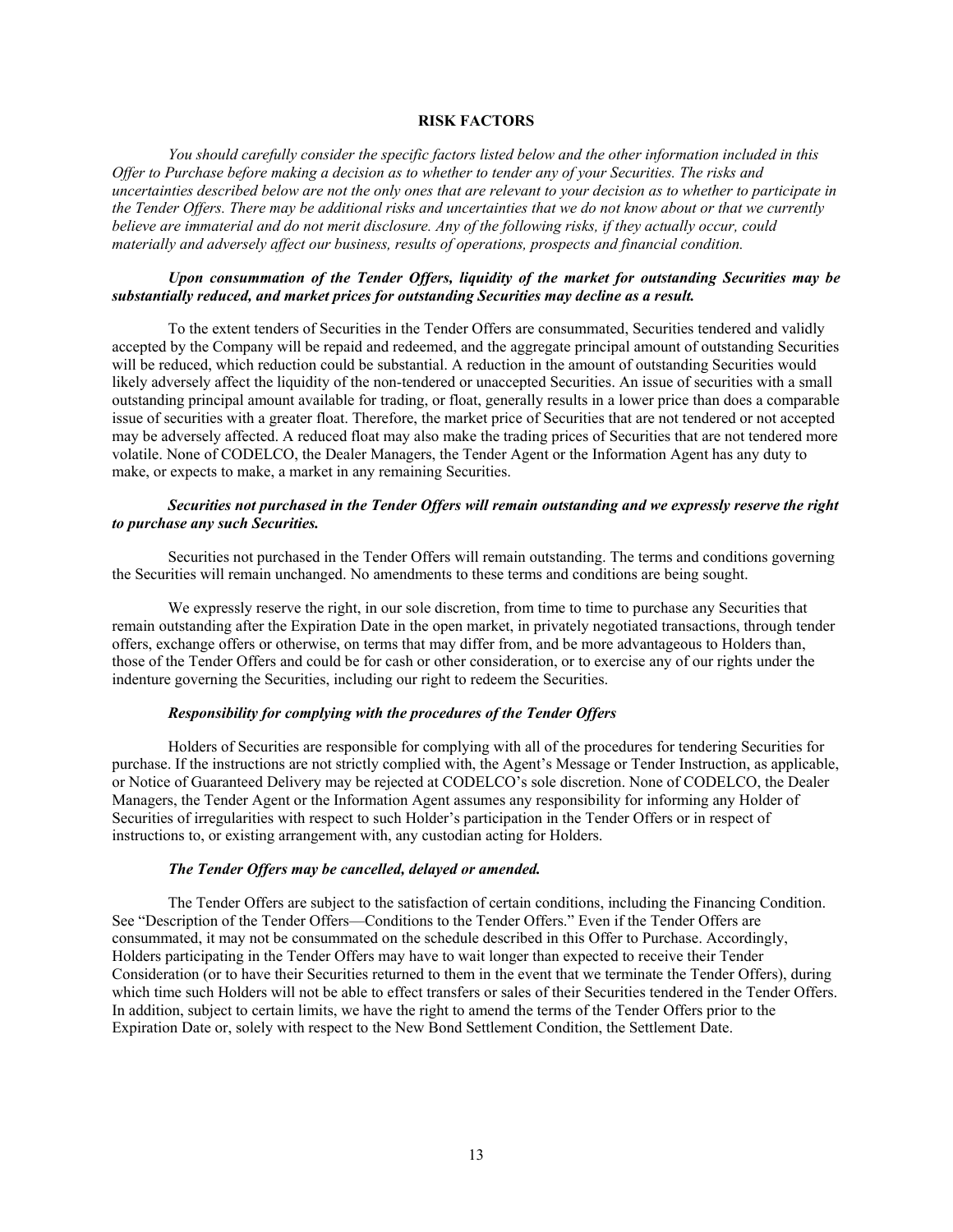# **RISK FACTORS**

*You should carefully consider the specific factors listed below and the other information included in this Offer to Purchase before making a decision as to whether to tender any of your Securities. The risks and uncertainties described below are not the only ones that are relevant to your decision as to whether to participate in the Tender Offers. There may be additional risks and uncertainties that we do not know about or that we currently believe are immaterial and do not merit disclosure. Any of the following risks, if they actually occur, could materially and adversely affect our business, results of operations, prospects and financial condition.* 

# *Upon consummation of the Tender Offers, liquidity of the market for outstanding Securities may be substantially reduced, and market prices for outstanding Securities may decline as a result.*

To the extent tenders of Securities in the Tender Offers are consummated, Securities tendered and validly accepted by the Company will be repaid and redeemed, and the aggregate principal amount of outstanding Securities will be reduced, which reduction could be substantial. A reduction in the amount of outstanding Securities would likely adversely affect the liquidity of the non-tendered or unaccepted Securities. An issue of securities with a small outstanding principal amount available for trading, or float, generally results in a lower price than does a comparable issue of securities with a greater float. Therefore, the market price of Securities that are not tendered or not accepted may be adversely affected. A reduced float may also make the trading prices of Securities that are not tendered more volatile. None of CODELCO, the Dealer Managers, the Tender Agent or the Information Agent has any duty to make, or expects to make, a market in any remaining Securities.

# *Securities not purchased in the Tender Offers will remain outstanding and we expressly reserve the right to purchase any such Securities.*

Securities not purchased in the Tender Offers will remain outstanding. The terms and conditions governing the Securities will remain unchanged. No amendments to these terms and conditions are being sought.

We expressly reserve the right, in our sole discretion, from time to time to purchase any Securities that remain outstanding after the Expiration Date in the open market, in privately negotiated transactions, through tender offers, exchange offers or otherwise, on terms that may differ from, and be more advantageous to Holders than, those of the Tender Offers and could be for cash or other consideration, or to exercise any of our rights under the indenture governing the Securities, including our right to redeem the Securities.

#### *Responsibility for complying with the procedures of the Tender Offers*

Holders of Securities are responsible for complying with all of the procedures for tendering Securities for purchase. If the instructions are not strictly complied with, the Agent's Message or Tender Instruction, as applicable, or Notice of Guaranteed Delivery may be rejected at CODELCO's sole discretion. None of CODELCO, the Dealer Managers, the Tender Agent or the Information Agent assumes any responsibility for informing any Holder of Securities of irregularities with respect to such Holder's participation in the Tender Offers or in respect of instructions to, or existing arrangement with, any custodian acting for Holders.

# *The Tender Offers may be cancelled, delayed or amended.*

The Tender Offers are subject to the satisfaction of certain conditions, including the Financing Condition. See "Description of the Tender Offers—Conditions to the Tender Offers." Even if the Tender Offers are consummated, it may not be consummated on the schedule described in this Offer to Purchase. Accordingly, Holders participating in the Tender Offers may have to wait longer than expected to receive their Tender Consideration (or to have their Securities returned to them in the event that we terminate the Tender Offers), during which time such Holders will not be able to effect transfers or sales of their Securities tendered in the Tender Offers. In addition, subject to certain limits, we have the right to amend the terms of the Tender Offers prior to the Expiration Date or, solely with respect to the New Bond Settlement Condition, the Settlement Date.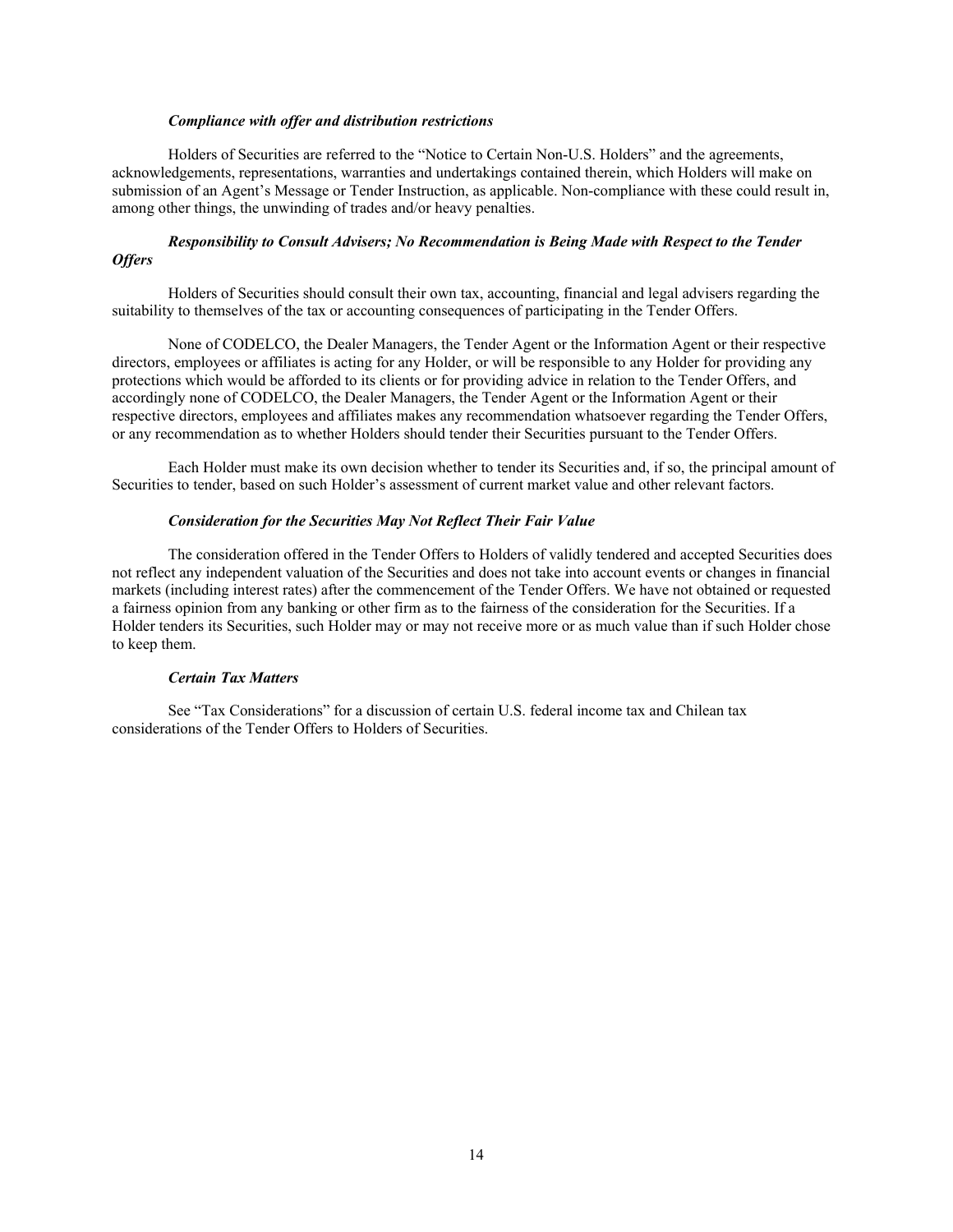#### *Compliance with offer and distribution restrictions*

Holders of Securities are referred to the "Notice to Certain Non-U.S. Holders" and the agreements, acknowledgements, representations, warranties and undertakings contained therein, which Holders will make on submission of an Agent's Message or Tender Instruction, as applicable. Non-compliance with these could result in, among other things, the unwinding of trades and/or heavy penalties.

# *Responsibility to Consult Advisers; No Recommendation is Being Made with Respect to the Tender Offers*

Holders of Securities should consult their own tax, accounting, financial and legal advisers regarding the suitability to themselves of the tax or accounting consequences of participating in the Tender Offers.

None of CODELCO, the Dealer Managers, the Tender Agent or the Information Agent or their respective directors, employees or affiliates is acting for any Holder, or will be responsible to any Holder for providing any protections which would be afforded to its clients or for providing advice in relation to the Tender Offers, and accordingly none of CODELCO, the Dealer Managers, the Tender Agent or the Information Agent or their respective directors, employees and affiliates makes any recommendation whatsoever regarding the Tender Offers, or any recommendation as to whether Holders should tender their Securities pursuant to the Tender Offers.

Each Holder must make its own decision whether to tender its Securities and, if so, the principal amount of Securities to tender, based on such Holder's assessment of current market value and other relevant factors.

# *Consideration for the Securities May Not Reflect Their Fair Value*

The consideration offered in the Tender Offers to Holders of validly tendered and accepted Securities does not reflect any independent valuation of the Securities and does not take into account events or changes in financial markets (including interest rates) after the commencement of the Tender Offers. We have not obtained or requested a fairness opinion from any banking or other firm as to the fairness of the consideration for the Securities. If a Holder tenders its Securities, such Holder may or may not receive more or as much value than if such Holder chose to keep them.

#### *Certain Tax Matters*

See "Tax Considerations" for a discussion of certain U.S. federal income tax and Chilean tax considerations of the Tender Offers to Holders of Securities.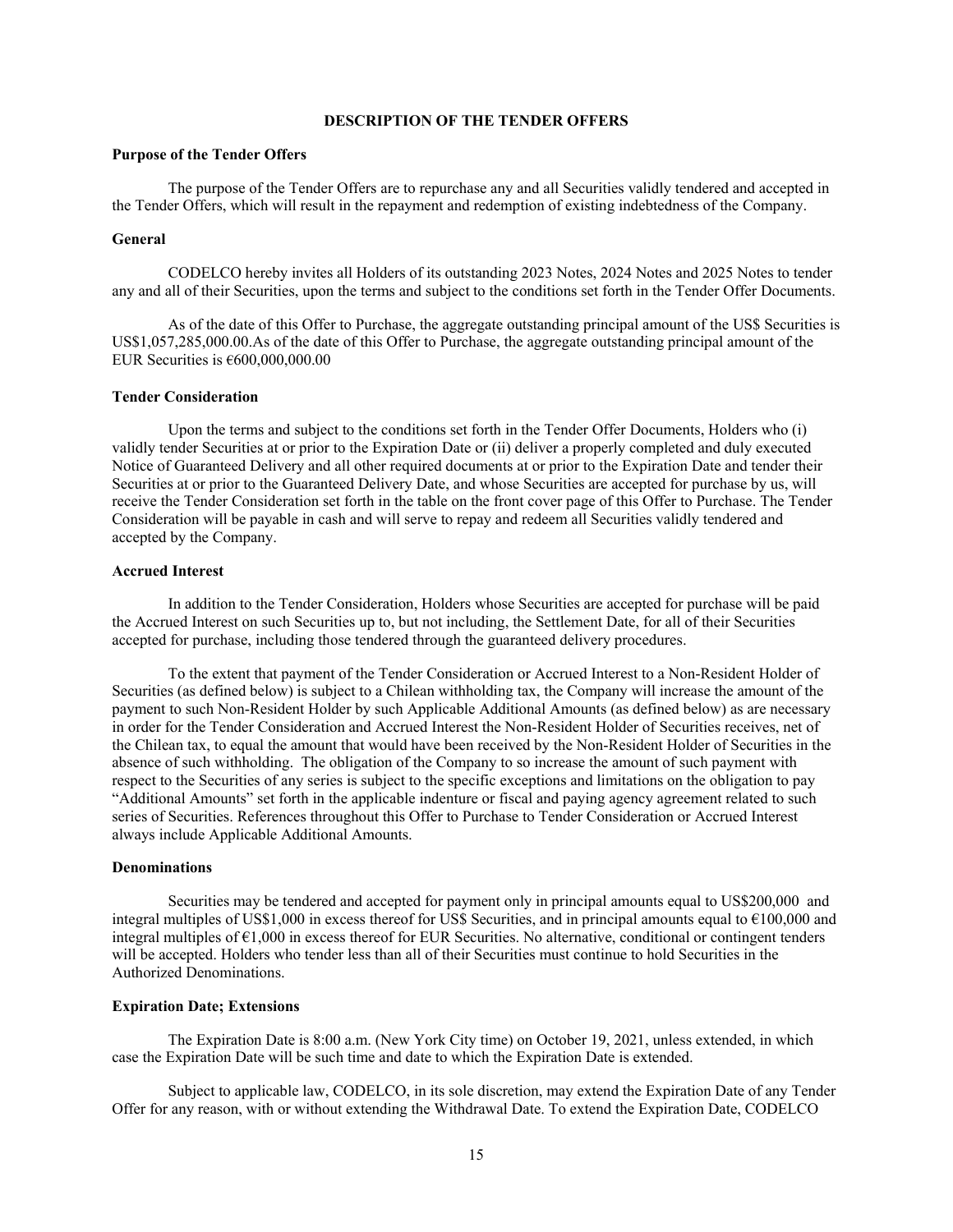# **DESCRIPTION OF THE TENDER OFFERS**

# **Purpose of the Tender Offers**

The purpose of the Tender Offers are to repurchase any and all Securities validly tendered and accepted in the Tender Offers, which will result in the repayment and redemption of existing indebtedness of the Company.

## **General**

CODELCO hereby invites all Holders of its outstanding 2023 Notes, 2024 Notes and 2025 Notes to tender any and all of their Securities, upon the terms and subject to the conditions set forth in the Tender Offer Documents.

As of the date of this Offer to Purchase, the aggregate outstanding principal amount of the US\$ Securities is US\$1,057,285,000.00.As of the date of this Offer to Purchase, the aggregate outstanding principal amount of the EUR Securities is  $€600,000,000.00$ 

## **Tender Consideration**

Upon the terms and subject to the conditions set forth in the Tender Offer Documents, Holders who (i) validly tender Securities at or prior to the Expiration Date or (ii) deliver a properly completed and duly executed Notice of Guaranteed Delivery and all other required documents at or prior to the Expiration Date and tender their Securities at or prior to the Guaranteed Delivery Date, and whose Securities are accepted for purchase by us, will receive the Tender Consideration set forth in the table on the front cover page of this Offer to Purchase. The Tender Consideration will be payable in cash and will serve to repay and redeem all Securities validly tendered and accepted by the Company.

#### **Accrued Interest**

 In addition to the Tender Consideration, Holders whose Securities are accepted for purchase will be paid the Accrued Interest on such Securities up to, but not including, the Settlement Date, for all of their Securities accepted for purchase, including those tendered through the guaranteed delivery procedures.

 To the extent that payment of the Tender Consideration or Accrued Interest to a Non-Resident Holder of Securities (as defined below) is subject to a Chilean withholding tax, the Company will increase the amount of the payment to such Non-Resident Holder by such Applicable Additional Amounts (as defined below) as are necessary in order for the Tender Consideration and Accrued Interest the Non-Resident Holder of Securities receives, net of the Chilean tax, to equal the amount that would have been received by the Non-Resident Holder of Securities in the absence of such withholding. The obligation of the Company to so increase the amount of such payment with respect to the Securities of any series is subject to the specific exceptions and limitations on the obligation to pay "Additional Amounts" set forth in the applicable indenture or fiscal and paying agency agreement related to such series of Securities. References throughout this Offer to Purchase to Tender Consideration or Accrued Interest always include Applicable Additional Amounts.

#### **Denominations**

 Securities may be tendered and accepted for payment only in principal amounts equal to US\$200,000 and integral multiples of US\$1,000 in excess thereof for US\$ Securities, and in principal amounts equal to €100,000 and integral multiples of  $\epsilon$ 1,000 in excess thereof for EUR Securities. No alternative, conditional or contingent tenders will be accepted. Holders who tender less than all of their Securities must continue to hold Securities in the Authorized Denominations.

#### **Expiration Date; Extensions**

The Expiration Date is 8:00 a.m. (New York City time) on October 19, 2021, unless extended, in which case the Expiration Date will be such time and date to which the Expiration Date is extended.

Subject to applicable law, CODELCO, in its sole discretion, may extend the Expiration Date of any Tender Offer for any reason, with or without extending the Withdrawal Date. To extend the Expiration Date, CODELCO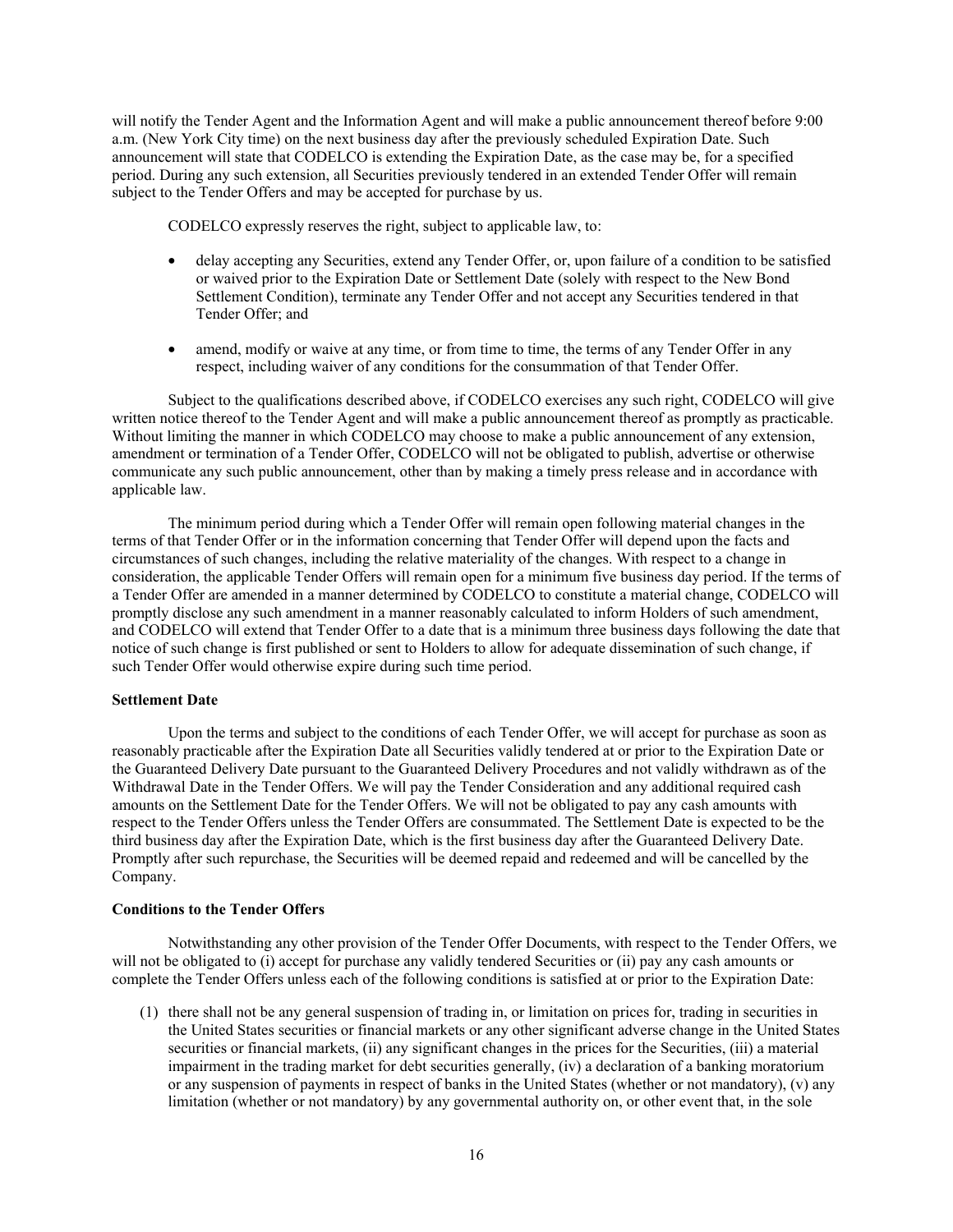will notify the Tender Agent and the Information Agent and will make a public announcement thereof before 9:00 a.m. (New York City time) on the next business day after the previously scheduled Expiration Date. Such announcement will state that CODELCO is extending the Expiration Date, as the case may be, for a specified period. During any such extension, all Securities previously tendered in an extended Tender Offer will remain subject to the Tender Offers and may be accepted for purchase by us.

CODELCO expressly reserves the right, subject to applicable law, to:

- delay accepting any Securities, extend any Tender Offer, or, upon failure of a condition to be satisfied or waived prior to the Expiration Date or Settlement Date (solely with respect to the New Bond Settlement Condition), terminate any Tender Offer and not accept any Securities tendered in that Tender Offer; and
- amend, modify or waive at any time, or from time to time, the terms of any Tender Offer in any respect, including waiver of any conditions for the consummation of that Tender Offer.

Subject to the qualifications described above, if CODELCO exercises any such right, CODELCO will give written notice thereof to the Tender Agent and will make a public announcement thereof as promptly as practicable. Without limiting the manner in which CODELCO may choose to make a public announcement of any extension, amendment or termination of a Tender Offer, CODELCO will not be obligated to publish, advertise or otherwise communicate any such public announcement, other than by making a timely press release and in accordance with applicable law.

The minimum period during which a Tender Offer will remain open following material changes in the terms of that Tender Offer or in the information concerning that Tender Offer will depend upon the facts and circumstances of such changes, including the relative materiality of the changes. With respect to a change in consideration, the applicable Tender Offers will remain open for a minimum five business day period. If the terms of a Tender Offer are amended in a manner determined by CODELCO to constitute a material change, CODELCO will promptly disclose any such amendment in a manner reasonably calculated to inform Holders of such amendment, and CODELCO will extend that Tender Offer to a date that is a minimum three business days following the date that notice of such change is first published or sent to Holders to allow for adequate dissemination of such change, if such Tender Offer would otherwise expire during such time period.

#### **Settlement Date**

Upon the terms and subject to the conditions of each Tender Offer, we will accept for purchase as soon as reasonably practicable after the Expiration Date all Securities validly tendered at or prior to the Expiration Date or the Guaranteed Delivery Date pursuant to the Guaranteed Delivery Procedures and not validly withdrawn as of the Withdrawal Date in the Tender Offers. We will pay the Tender Consideration and any additional required cash amounts on the Settlement Date for the Tender Offers. We will not be obligated to pay any cash amounts with respect to the Tender Offers unless the Tender Offers are consummated. The Settlement Date is expected to be the third business day after the Expiration Date, which is the first business day after the Guaranteed Delivery Date. Promptly after such repurchase, the Securities will be deemed repaid and redeemed and will be cancelled by the Company.

#### **Conditions to the Tender Offers**

Notwithstanding any other provision of the Tender Offer Documents, with respect to the Tender Offers, we will not be obligated to (i) accept for purchase any validly tendered Securities or (ii) pay any cash amounts or complete the Tender Offers unless each of the following conditions is satisfied at or prior to the Expiration Date:

(1) there shall not be any general suspension of trading in, or limitation on prices for, trading in securities in the United States securities or financial markets or any other significant adverse change in the United States securities or financial markets, (ii) any significant changes in the prices for the Securities, (iii) a material impairment in the trading market for debt securities generally, (iv) a declaration of a banking moratorium or any suspension of payments in respect of banks in the United States (whether or not mandatory), (v) any limitation (whether or not mandatory) by any governmental authority on, or other event that, in the sole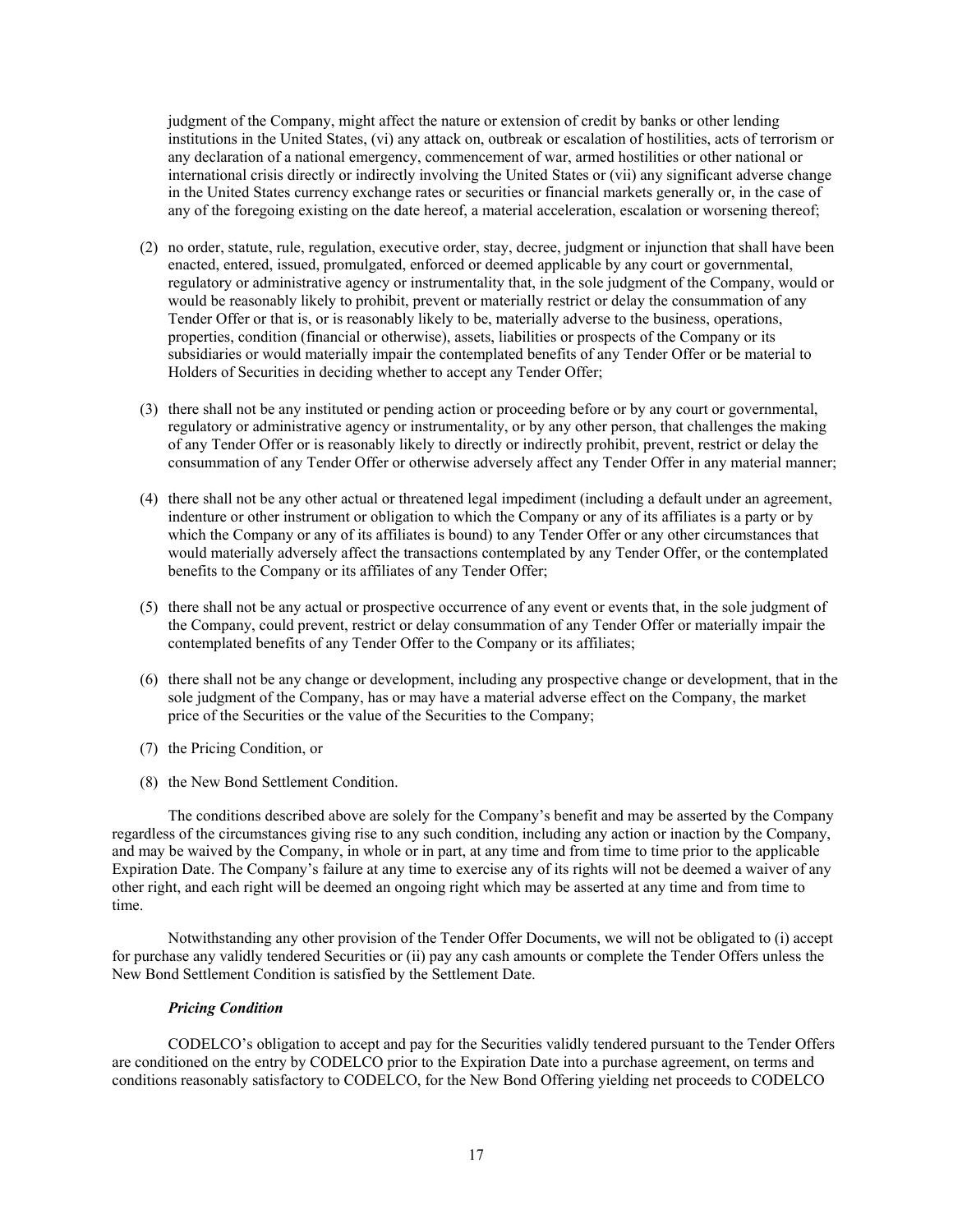judgment of the Company, might affect the nature or extension of credit by banks or other lending institutions in the United States, (vi) any attack on, outbreak or escalation of hostilities, acts of terrorism or any declaration of a national emergency, commencement of war, armed hostilities or other national or international crisis directly or indirectly involving the United States or (vii) any significant adverse change in the United States currency exchange rates or securities or financial markets generally or, in the case of any of the foregoing existing on the date hereof, a material acceleration, escalation or worsening thereof;

- (2) no order, statute, rule, regulation, executive order, stay, decree, judgment or injunction that shall have been enacted, entered, issued, promulgated, enforced or deemed applicable by any court or governmental, regulatory or administrative agency or instrumentality that, in the sole judgment of the Company, would or would be reasonably likely to prohibit, prevent or materially restrict or delay the consummation of any Tender Offer or that is, or is reasonably likely to be, materially adverse to the business, operations, properties, condition (financial or otherwise), assets, liabilities or prospects of the Company or its subsidiaries or would materially impair the contemplated benefits of any Tender Offer or be material to Holders of Securities in deciding whether to accept any Tender Offer;
- (3) there shall not be any instituted or pending action or proceeding before or by any court or governmental, regulatory or administrative agency or instrumentality, or by any other person, that challenges the making of any Tender Offer or is reasonably likely to directly or indirectly prohibit, prevent, restrict or delay the consummation of any Tender Offer or otherwise adversely affect any Tender Offer in any material manner;
- (4) there shall not be any other actual or threatened legal impediment (including a default under an agreement, indenture or other instrument or obligation to which the Company or any of its affiliates is a party or by which the Company or any of its affiliates is bound) to any Tender Offer or any other circumstances that would materially adversely affect the transactions contemplated by any Tender Offer, or the contemplated benefits to the Company or its affiliates of any Tender Offer;
- (5) there shall not be any actual or prospective occurrence of any event or events that, in the sole judgment of the Company, could prevent, restrict or delay consummation of any Tender Offer or materially impair the contemplated benefits of any Tender Offer to the Company or its affiliates;
- (6) there shall not be any change or development, including any prospective change or development, that in the sole judgment of the Company, has or may have a material adverse effect on the Company, the market price of the Securities or the value of the Securities to the Company;
- (7) the Pricing Condition, or
- (8) the New Bond Settlement Condition.

The conditions described above are solely for the Company's benefit and may be asserted by the Company regardless of the circumstances giving rise to any such condition, including any action or inaction by the Company, and may be waived by the Company, in whole or in part, at any time and from time to time prior to the applicable Expiration Date. The Company's failure at any time to exercise any of its rights will not be deemed a waiver of any other right, and each right will be deemed an ongoing right which may be asserted at any time and from time to time.

Notwithstanding any other provision of the Tender Offer Documents, we will not be obligated to (i) accept for purchase any validly tendered Securities or (ii) pay any cash amounts or complete the Tender Offers unless the New Bond Settlement Condition is satisfied by the Settlement Date.

#### *Pricing Condition*

CODELCO's obligation to accept and pay for the Securities validly tendered pursuant to the Tender Offers are conditioned on the entry by CODELCO prior to the Expiration Date into a purchase agreement, on terms and conditions reasonably satisfactory to CODELCO, for the New Bond Offering yielding net proceeds to CODELCO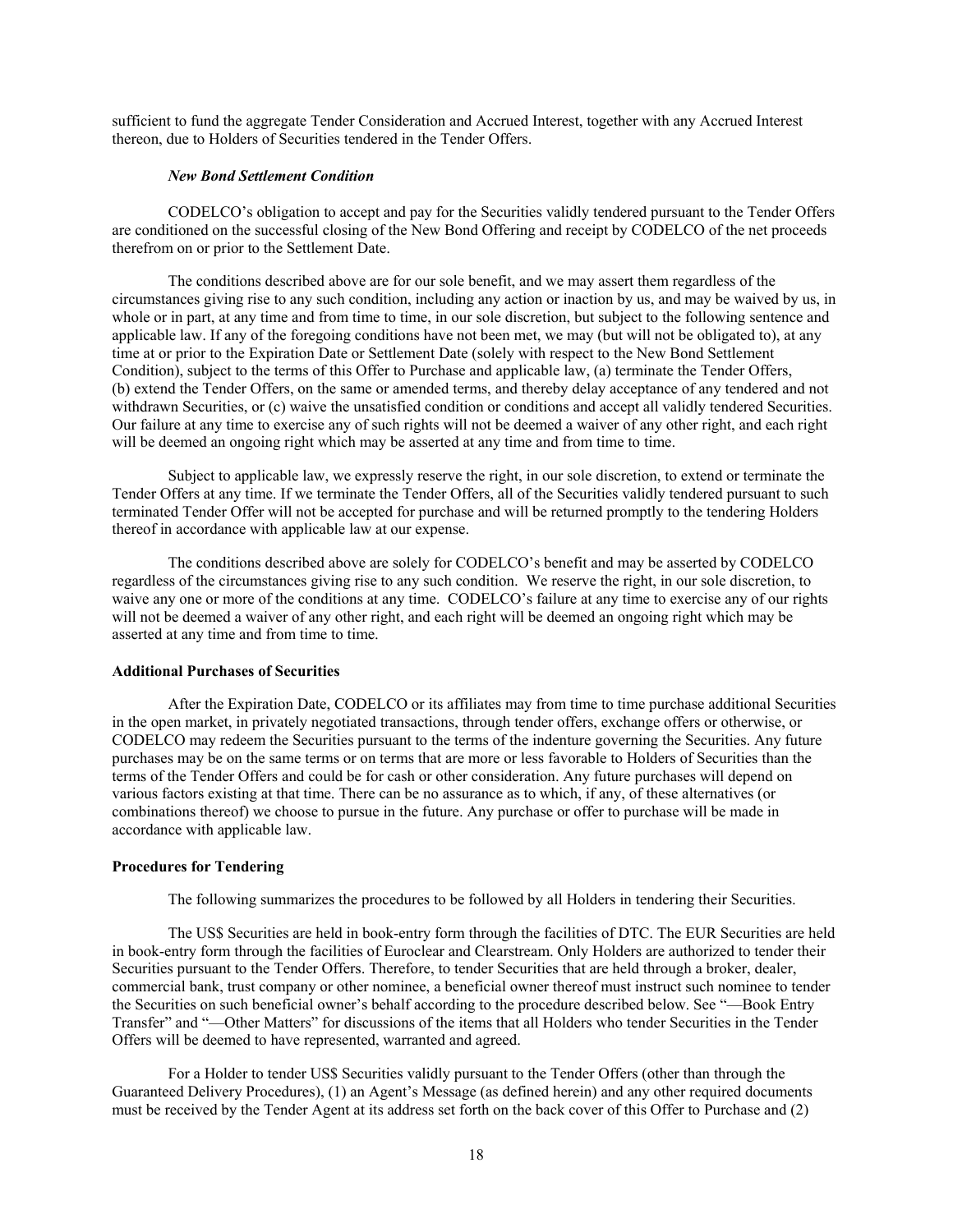sufficient to fund the aggregate Tender Consideration and Accrued Interest, together with any Accrued Interest thereon, due to Holders of Securities tendered in the Tender Offers.

#### *New Bond Settlement Condition*

CODELCO's obligation to accept and pay for the Securities validly tendered pursuant to the Tender Offers are conditioned on the successful closing of the New Bond Offering and receipt by CODELCO of the net proceeds therefrom on or prior to the Settlement Date.

The conditions described above are for our sole benefit, and we may assert them regardless of the circumstances giving rise to any such condition, including any action or inaction by us, and may be waived by us, in whole or in part, at any time and from time to time, in our sole discretion, but subject to the following sentence and applicable law. If any of the foregoing conditions have not been met, we may (but will not be obligated to), at any time at or prior to the Expiration Date or Settlement Date (solely with respect to the New Bond Settlement Condition), subject to the terms of this Offer to Purchase and applicable law, (a) terminate the Tender Offers, (b) extend the Tender Offers, on the same or amended terms, and thereby delay acceptance of any tendered and not withdrawn Securities, or (c) waive the unsatisfied condition or conditions and accept all validly tendered Securities. Our failure at any time to exercise any of such rights will not be deemed a waiver of any other right, and each right will be deemed an ongoing right which may be asserted at any time and from time to time.

Subject to applicable law, we expressly reserve the right, in our sole discretion, to extend or terminate the Tender Offers at any time. If we terminate the Tender Offers, all of the Securities validly tendered pursuant to such terminated Tender Offer will not be accepted for purchase and will be returned promptly to the tendering Holders thereof in accordance with applicable law at our expense.

The conditions described above are solely for CODELCO's benefit and may be asserted by CODELCO regardless of the circumstances giving rise to any such condition. We reserve the right, in our sole discretion, to waive any one or more of the conditions at any time. CODELCO's failure at any time to exercise any of our rights will not be deemed a waiver of any other right, and each right will be deemed an ongoing right which may be asserted at any time and from time to time.

# **Additional Purchases of Securities**

After the Expiration Date, CODELCO or its affiliates may from time to time purchase additional Securities in the open market, in privately negotiated transactions, through tender offers, exchange offers or otherwise, or CODELCO may redeem the Securities pursuant to the terms of the indenture governing the Securities. Any future purchases may be on the same terms or on terms that are more or less favorable to Holders of Securities than the terms of the Tender Offers and could be for cash or other consideration. Any future purchases will depend on various factors existing at that time. There can be no assurance as to which, if any, of these alternatives (or combinations thereof) we choose to pursue in the future. Any purchase or offer to purchase will be made in accordance with applicable law.

#### **Procedures for Tendering**

The following summarizes the procedures to be followed by all Holders in tendering their Securities.

The US\$ Securities are held in book-entry form through the facilities of DTC. The EUR Securities are held in book-entry form through the facilities of Euroclear and Clearstream. Only Holders are authorized to tender their Securities pursuant to the Tender Offers. Therefore, to tender Securities that are held through a broker, dealer, commercial bank, trust company or other nominee, a beneficial owner thereof must instruct such nominee to tender the Securities on such beneficial owner's behalf according to the procedure described below. See "—Book Entry Transfer" and "—Other Matters" for discussions of the items that all Holders who tender Securities in the Tender Offers will be deemed to have represented, warranted and agreed.

For a Holder to tender US\$ Securities validly pursuant to the Tender Offers (other than through the Guaranteed Delivery Procedures), (1) an Agent's Message (as defined herein) and any other required documents must be received by the Tender Agent at its address set forth on the back cover of this Offer to Purchase and (2)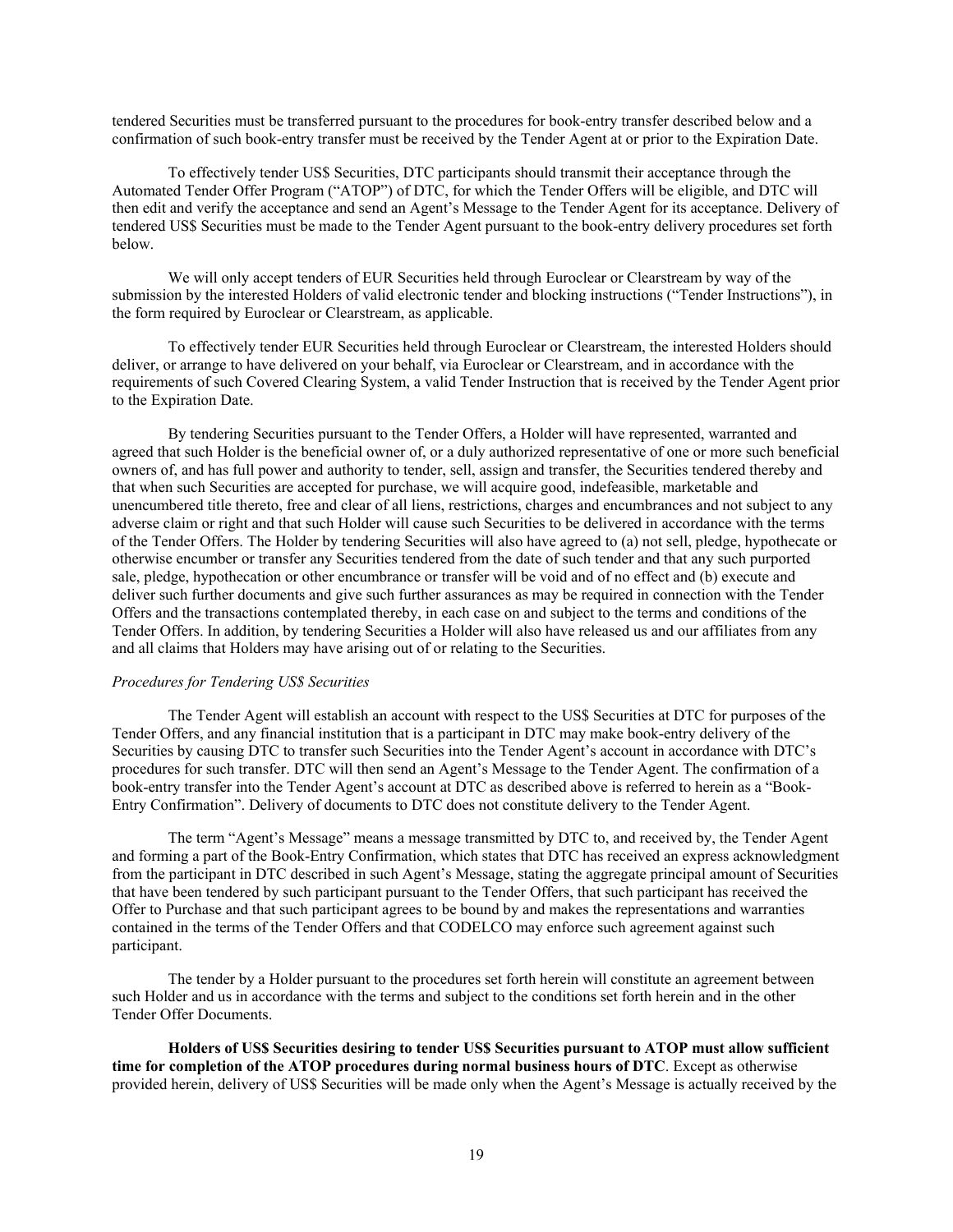tendered Securities must be transferred pursuant to the procedures for book-entry transfer described below and a confirmation of such book-entry transfer must be received by the Tender Agent at or prior to the Expiration Date.

To effectively tender US\$ Securities, DTC participants should transmit their acceptance through the Automated Tender Offer Program ("ATOP") of DTC, for which the Tender Offers will be eligible, and DTC will then edit and verify the acceptance and send an Agent's Message to the Tender Agent for its acceptance. Delivery of tendered US\$ Securities must be made to the Tender Agent pursuant to the book-entry delivery procedures set forth below.

We will only accept tenders of EUR Securities held through Euroclear or Clearstream by way of the submission by the interested Holders of valid electronic tender and blocking instructions ("Tender Instructions"), in the form required by Euroclear or Clearstream, as applicable.

To effectively tender EUR Securities held through Euroclear or Clearstream, the interested Holders should deliver, or arrange to have delivered on your behalf, via Euroclear or Clearstream, and in accordance with the requirements of such Covered Clearing System, a valid Tender Instruction that is received by the Tender Agent prior to the Expiration Date.

By tendering Securities pursuant to the Tender Offers, a Holder will have represented, warranted and agreed that such Holder is the beneficial owner of, or a duly authorized representative of one or more such beneficial owners of, and has full power and authority to tender, sell, assign and transfer, the Securities tendered thereby and that when such Securities are accepted for purchase, we will acquire good, indefeasible, marketable and unencumbered title thereto, free and clear of all liens, restrictions, charges and encumbrances and not subject to any adverse claim or right and that such Holder will cause such Securities to be delivered in accordance with the terms of the Tender Offers. The Holder by tendering Securities will also have agreed to (a) not sell, pledge, hypothecate or otherwise encumber or transfer any Securities tendered from the date of such tender and that any such purported sale, pledge, hypothecation or other encumbrance or transfer will be void and of no effect and (b) execute and deliver such further documents and give such further assurances as may be required in connection with the Tender Offers and the transactions contemplated thereby, in each case on and subject to the terms and conditions of the Tender Offers. In addition, by tendering Securities a Holder will also have released us and our affiliates from any and all claims that Holders may have arising out of or relating to the Securities.

#### *Procedures for Tendering US\$ Securities*

The Tender Agent will establish an account with respect to the US\$ Securities at DTC for purposes of the Tender Offers, and any financial institution that is a participant in DTC may make book-entry delivery of the Securities by causing DTC to transfer such Securities into the Tender Agent's account in accordance with DTC's procedures for such transfer. DTC will then send an Agent's Message to the Tender Agent. The confirmation of a book-entry transfer into the Tender Agent's account at DTC as described above is referred to herein as a "Book-Entry Confirmation". Delivery of documents to DTC does not constitute delivery to the Tender Agent.

The term "Agent's Message" means a message transmitted by DTC to, and received by, the Tender Agent and forming a part of the Book-Entry Confirmation, which states that DTC has received an express acknowledgment from the participant in DTC described in such Agent's Message, stating the aggregate principal amount of Securities that have been tendered by such participant pursuant to the Tender Offers, that such participant has received the Offer to Purchase and that such participant agrees to be bound by and makes the representations and warranties contained in the terms of the Tender Offers and that CODELCO may enforce such agreement against such participant.

The tender by a Holder pursuant to the procedures set forth herein will constitute an agreement between such Holder and us in accordance with the terms and subject to the conditions set forth herein and in the other Tender Offer Documents.

**Holders of US\$ Securities desiring to tender US\$ Securities pursuant to ATOP must allow sufficient time for completion of the ATOP procedures during normal business hours of DTC**. Except as otherwise provided herein, delivery of US\$ Securities will be made only when the Agent's Message is actually received by the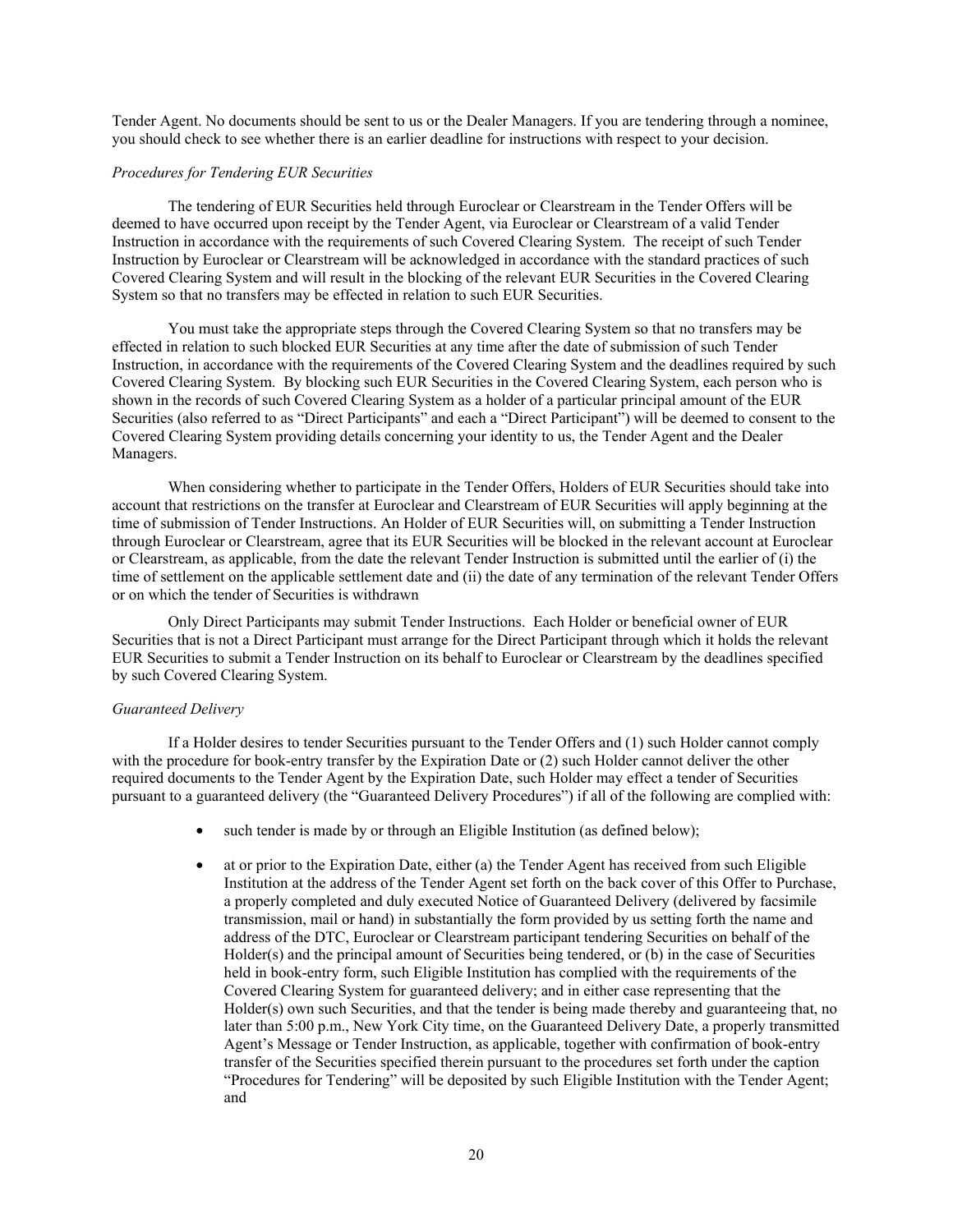Tender Agent. No documents should be sent to us or the Dealer Managers. If you are tendering through a nominee, you should check to see whether there is an earlier deadline for instructions with respect to your decision.

#### *Procedures for Tendering EUR Securities*

The tendering of EUR Securities held through Euroclear or Clearstream in the Tender Offers will be deemed to have occurred upon receipt by the Tender Agent, via Euroclear or Clearstream of a valid Tender Instruction in accordance with the requirements of such Covered Clearing System. The receipt of such Tender Instruction by Euroclear or Clearstream will be acknowledged in accordance with the standard practices of such Covered Clearing System and will result in the blocking of the relevant EUR Securities in the Covered Clearing System so that no transfers may be effected in relation to such EUR Securities.

You must take the appropriate steps through the Covered Clearing System so that no transfers may be effected in relation to such blocked EUR Securities at any time after the date of submission of such Tender Instruction, in accordance with the requirements of the Covered Clearing System and the deadlines required by such Covered Clearing System. By blocking such EUR Securities in the Covered Clearing System, each person who is shown in the records of such Covered Clearing System as a holder of a particular principal amount of the EUR Securities (also referred to as "Direct Participants" and each a "Direct Participant") will be deemed to consent to the Covered Clearing System providing details concerning your identity to us, the Tender Agent and the Dealer Managers.

When considering whether to participate in the Tender Offers, Holders of EUR Securities should take into account that restrictions on the transfer at Euroclear and Clearstream of EUR Securities will apply beginning at the time of submission of Tender Instructions. An Holder of EUR Securities will, on submitting a Tender Instruction through Euroclear or Clearstream, agree that its EUR Securities will be blocked in the relevant account at Euroclear or Clearstream, as applicable, from the date the relevant Tender Instruction is submitted until the earlier of (i) the time of settlement on the applicable settlement date and (ii) the date of any termination of the relevant Tender Offers or on which the tender of Securities is withdrawn

Only Direct Participants may submit Tender Instructions. Each Holder or beneficial owner of EUR Securities that is not a Direct Participant must arrange for the Direct Participant through which it holds the relevant EUR Securities to submit a Tender Instruction on its behalf to Euroclear or Clearstream by the deadlines specified by such Covered Clearing System.

#### *Guaranteed Delivery*

If a Holder desires to tender Securities pursuant to the Tender Offers and (1) such Holder cannot comply with the procedure for book-entry transfer by the Expiration Date or (2) such Holder cannot deliver the other required documents to the Tender Agent by the Expiration Date, such Holder may effect a tender of Securities pursuant to a guaranteed delivery (the "Guaranteed Delivery Procedures") if all of the following are complied with:

- such tender is made by or through an Eligible Institution (as defined below);
- at or prior to the Expiration Date, either (a) the Tender Agent has received from such Eligible Institution at the address of the Tender Agent set forth on the back cover of this Offer to Purchase, a properly completed and duly executed Notice of Guaranteed Delivery (delivered by facsimile transmission, mail or hand) in substantially the form provided by us setting forth the name and address of the DTC, Euroclear or Clearstream participant tendering Securities on behalf of the Holder(s) and the principal amount of Securities being tendered, or (b) in the case of Securities held in book-entry form, such Eligible Institution has complied with the requirements of the Covered Clearing System for guaranteed delivery; and in either case representing that the Holder(s) own such Securities, and that the tender is being made thereby and guaranteeing that, no later than 5:00 p.m., New York City time, on the Guaranteed Delivery Date, a properly transmitted Agent's Message or Tender Instruction, as applicable, together with confirmation of book-entry transfer of the Securities specified therein pursuant to the procedures set forth under the caption "Procedures for Tendering" will be deposited by such Eligible Institution with the Tender Agent; and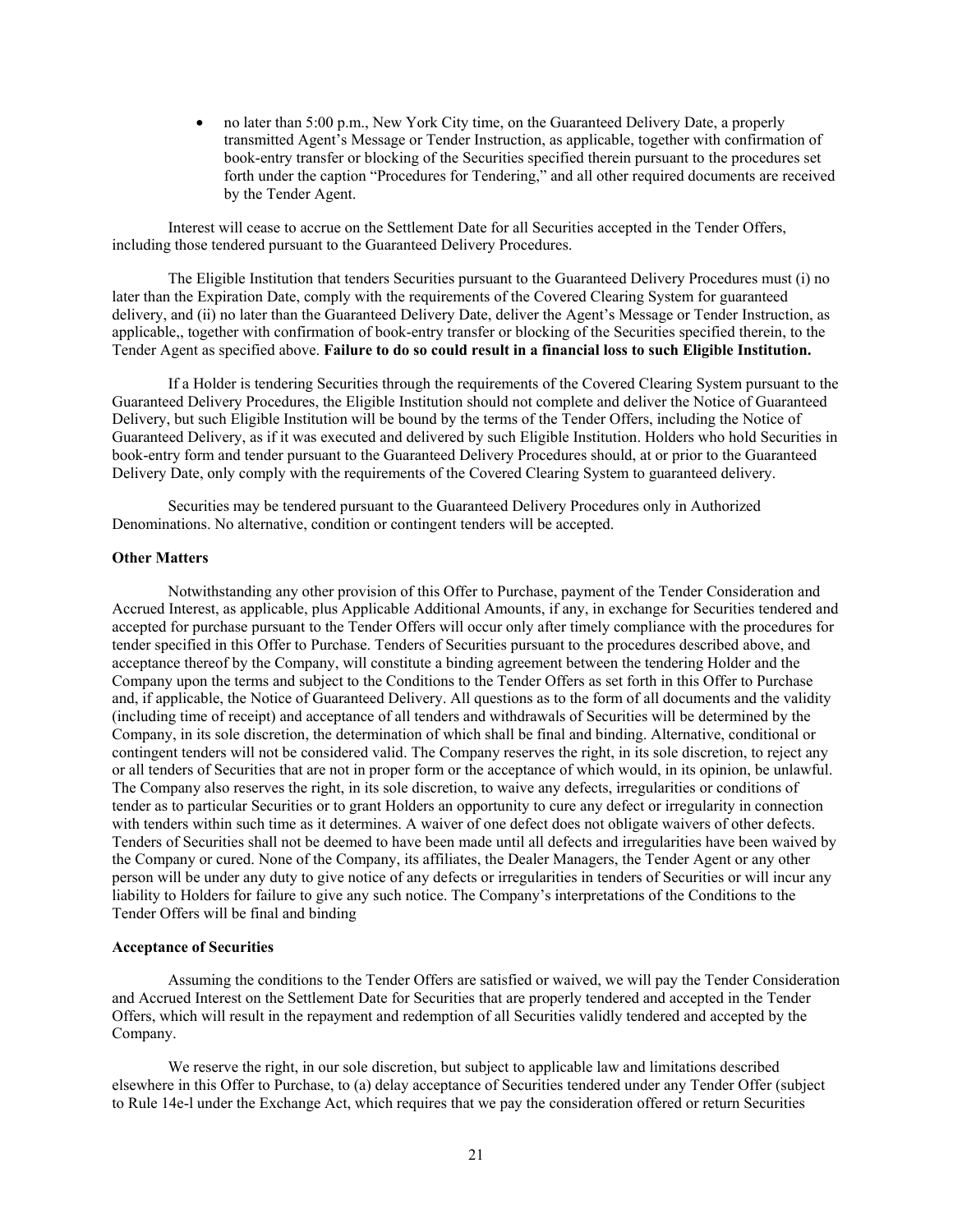• no later than 5:00 p.m., New York City time, on the Guaranteed Delivery Date, a properly transmitted Agent's Message or Tender Instruction, as applicable, together with confirmation of book-entry transfer or blocking of the Securities specified therein pursuant to the procedures set forth under the caption "Procedures for Tendering," and all other required documents are received by the Tender Agent.

Interest will cease to accrue on the Settlement Date for all Securities accepted in the Tender Offers, including those tendered pursuant to the Guaranteed Delivery Procedures.

The Eligible Institution that tenders Securities pursuant to the Guaranteed Delivery Procedures must (i) no later than the Expiration Date, comply with the requirements of the Covered Clearing System for guaranteed delivery, and (ii) no later than the Guaranteed Delivery Date, deliver the Agent's Message or Tender Instruction, as applicable,, together with confirmation of book-entry transfer or blocking of the Securities specified therein, to the Tender Agent as specified above. **Failure to do so could result in a financial loss to such Eligible Institution.**

If a Holder is tendering Securities through the requirements of the Covered Clearing System pursuant to the Guaranteed Delivery Procedures, the Eligible Institution should not complete and deliver the Notice of Guaranteed Delivery, but such Eligible Institution will be bound by the terms of the Tender Offers, including the Notice of Guaranteed Delivery, as if it was executed and delivered by such Eligible Institution. Holders who hold Securities in book-entry form and tender pursuant to the Guaranteed Delivery Procedures should, at or prior to the Guaranteed Delivery Date, only comply with the requirements of the Covered Clearing System to guaranteed delivery.

Securities may be tendered pursuant to the Guaranteed Delivery Procedures only in Authorized Denominations. No alternative, condition or contingent tenders will be accepted.

#### **Other Matters**

Notwithstanding any other provision of this Offer to Purchase, payment of the Tender Consideration and Accrued Interest, as applicable, plus Applicable Additional Amounts, if any, in exchange for Securities tendered and accepted for purchase pursuant to the Tender Offers will occur only after timely compliance with the procedures for tender specified in this Offer to Purchase. Tenders of Securities pursuant to the procedures described above, and acceptance thereof by the Company, will constitute a binding agreement between the tendering Holder and the Company upon the terms and subject to the Conditions to the Tender Offers as set forth in this Offer to Purchase and, if applicable, the Notice of Guaranteed Delivery. All questions as to the form of all documents and the validity (including time of receipt) and acceptance of all tenders and withdrawals of Securities will be determined by the Company, in its sole discretion, the determination of which shall be final and binding. Alternative, conditional or contingent tenders will not be considered valid. The Company reserves the right, in its sole discretion, to reject any or all tenders of Securities that are not in proper form or the acceptance of which would, in its opinion, be unlawful. The Company also reserves the right, in its sole discretion, to waive any defects, irregularities or conditions of tender as to particular Securities or to grant Holders an opportunity to cure any defect or irregularity in connection with tenders within such time as it determines. A waiver of one defect does not obligate waivers of other defects. Tenders of Securities shall not be deemed to have been made until all defects and irregularities have been waived by the Company or cured. None of the Company, its affiliates, the Dealer Managers, the Tender Agent or any other person will be under any duty to give notice of any defects or irregularities in tenders of Securities or will incur any liability to Holders for failure to give any such notice. The Company's interpretations of the Conditions to the Tender Offers will be final and binding

#### **Acceptance of Securities**

Assuming the conditions to the Tender Offers are satisfied or waived, we will pay the Tender Consideration and Accrued Interest on the Settlement Date for Securities that are properly tendered and accepted in the Tender Offers, which will result in the repayment and redemption of all Securities validly tendered and accepted by the Company.

We reserve the right, in our sole discretion, but subject to applicable law and limitations described elsewhere in this Offer to Purchase, to (a) delay acceptance of Securities tendered under any Tender Offer (subject to Rule 14e-l under the Exchange Act, which requires that we pay the consideration offered or return Securities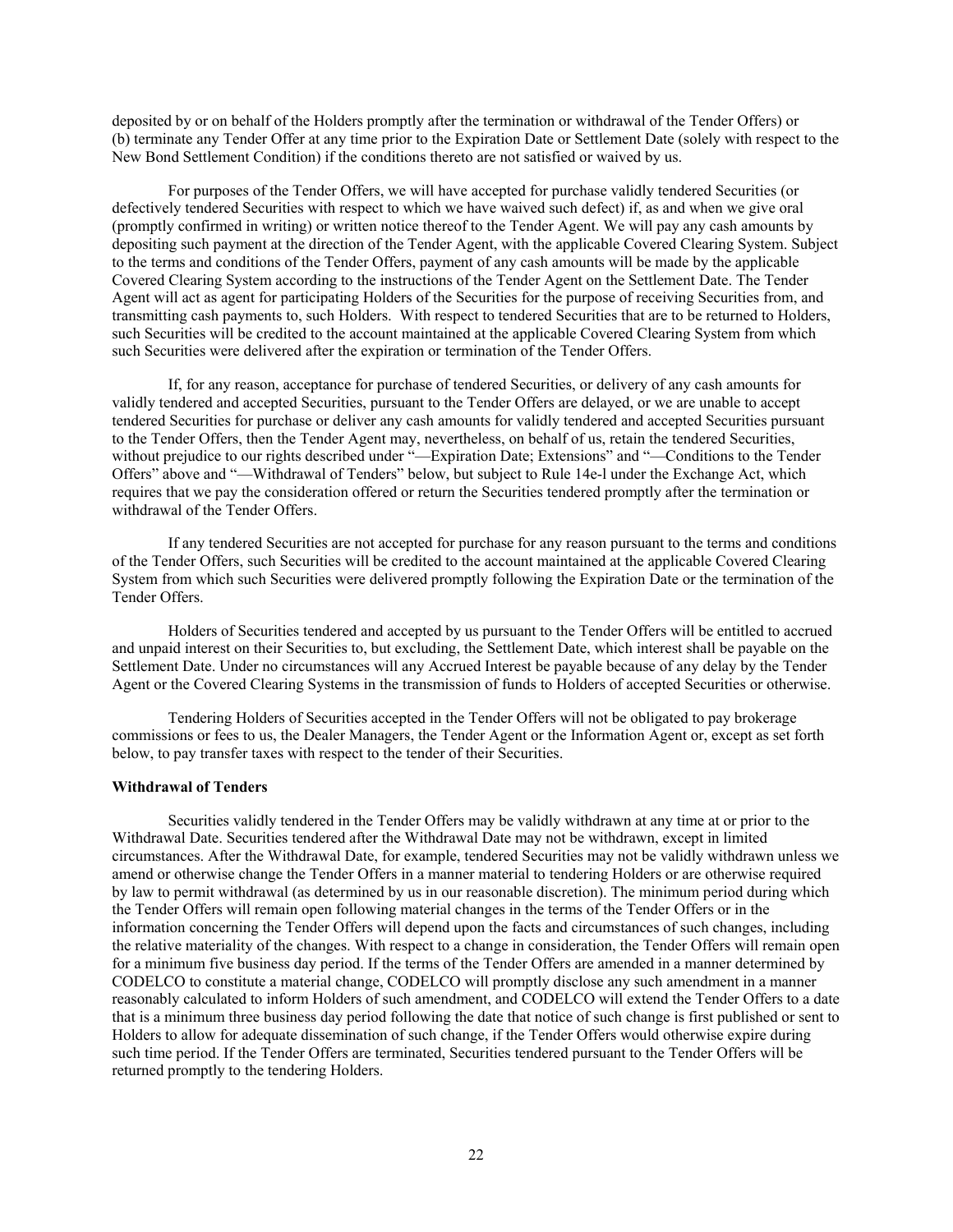deposited by or on behalf of the Holders promptly after the termination or withdrawal of the Tender Offers) or (b) terminate any Tender Offer at any time prior to the Expiration Date or Settlement Date (solely with respect to the New Bond Settlement Condition) if the conditions thereto are not satisfied or waived by us.

For purposes of the Tender Offers, we will have accepted for purchase validly tendered Securities (or defectively tendered Securities with respect to which we have waived such defect) if, as and when we give oral (promptly confirmed in writing) or written notice thereof to the Tender Agent. We will pay any cash amounts by depositing such payment at the direction of the Tender Agent, with the applicable Covered Clearing System. Subject to the terms and conditions of the Tender Offers, payment of any cash amounts will be made by the applicable Covered Clearing System according to the instructions of the Tender Agent on the Settlement Date. The Tender Agent will act as agent for participating Holders of the Securities for the purpose of receiving Securities from, and transmitting cash payments to, such Holders. With respect to tendered Securities that are to be returned to Holders, such Securities will be credited to the account maintained at the applicable Covered Clearing System from which such Securities were delivered after the expiration or termination of the Tender Offers.

If, for any reason, acceptance for purchase of tendered Securities, or delivery of any cash amounts for validly tendered and accepted Securities, pursuant to the Tender Offers are delayed, or we are unable to accept tendered Securities for purchase or deliver any cash amounts for validly tendered and accepted Securities pursuant to the Tender Offers, then the Tender Agent may, nevertheless, on behalf of us, retain the tendered Securities, without prejudice to our rights described under "—Expiration Date; Extensions" and "—Conditions to the Tender Offers" above and "—Withdrawal of Tenders" below, but subject to Rule 14e-l under the Exchange Act, which requires that we pay the consideration offered or return the Securities tendered promptly after the termination or withdrawal of the Tender Offers.

If any tendered Securities are not accepted for purchase for any reason pursuant to the terms and conditions of the Tender Offers, such Securities will be credited to the account maintained at the applicable Covered Clearing System from which such Securities were delivered promptly following the Expiration Date or the termination of the Tender Offers.

Holders of Securities tendered and accepted by us pursuant to the Tender Offers will be entitled to accrued and unpaid interest on their Securities to, but excluding, the Settlement Date, which interest shall be payable on the Settlement Date. Under no circumstances will any Accrued Interest be payable because of any delay by the Tender Agent or the Covered Clearing Systems in the transmission of funds to Holders of accepted Securities or otherwise.

Tendering Holders of Securities accepted in the Tender Offers will not be obligated to pay brokerage commissions or fees to us, the Dealer Managers, the Tender Agent or the Information Agent or, except as set forth below, to pay transfer taxes with respect to the tender of their Securities.

#### **Withdrawal of Tenders**

Securities validly tendered in the Tender Offers may be validly withdrawn at any time at or prior to the Withdrawal Date. Securities tendered after the Withdrawal Date may not be withdrawn, except in limited circumstances. After the Withdrawal Date, for example, tendered Securities may not be validly withdrawn unless we amend or otherwise change the Tender Offers in a manner material to tendering Holders or are otherwise required by law to permit withdrawal (as determined by us in our reasonable discretion). The minimum period during which the Tender Offers will remain open following material changes in the terms of the Tender Offers or in the information concerning the Tender Offers will depend upon the facts and circumstances of such changes, including the relative materiality of the changes. With respect to a change in consideration, the Tender Offers will remain open for a minimum five business day period. If the terms of the Tender Offers are amended in a manner determined by CODELCO to constitute a material change, CODELCO will promptly disclose any such amendment in a manner reasonably calculated to inform Holders of such amendment, and CODELCO will extend the Tender Offers to a date that is a minimum three business day period following the date that notice of such change is first published or sent to Holders to allow for adequate dissemination of such change, if the Tender Offers would otherwise expire during such time period. If the Tender Offers are terminated, Securities tendered pursuant to the Tender Offers will be returned promptly to the tendering Holders.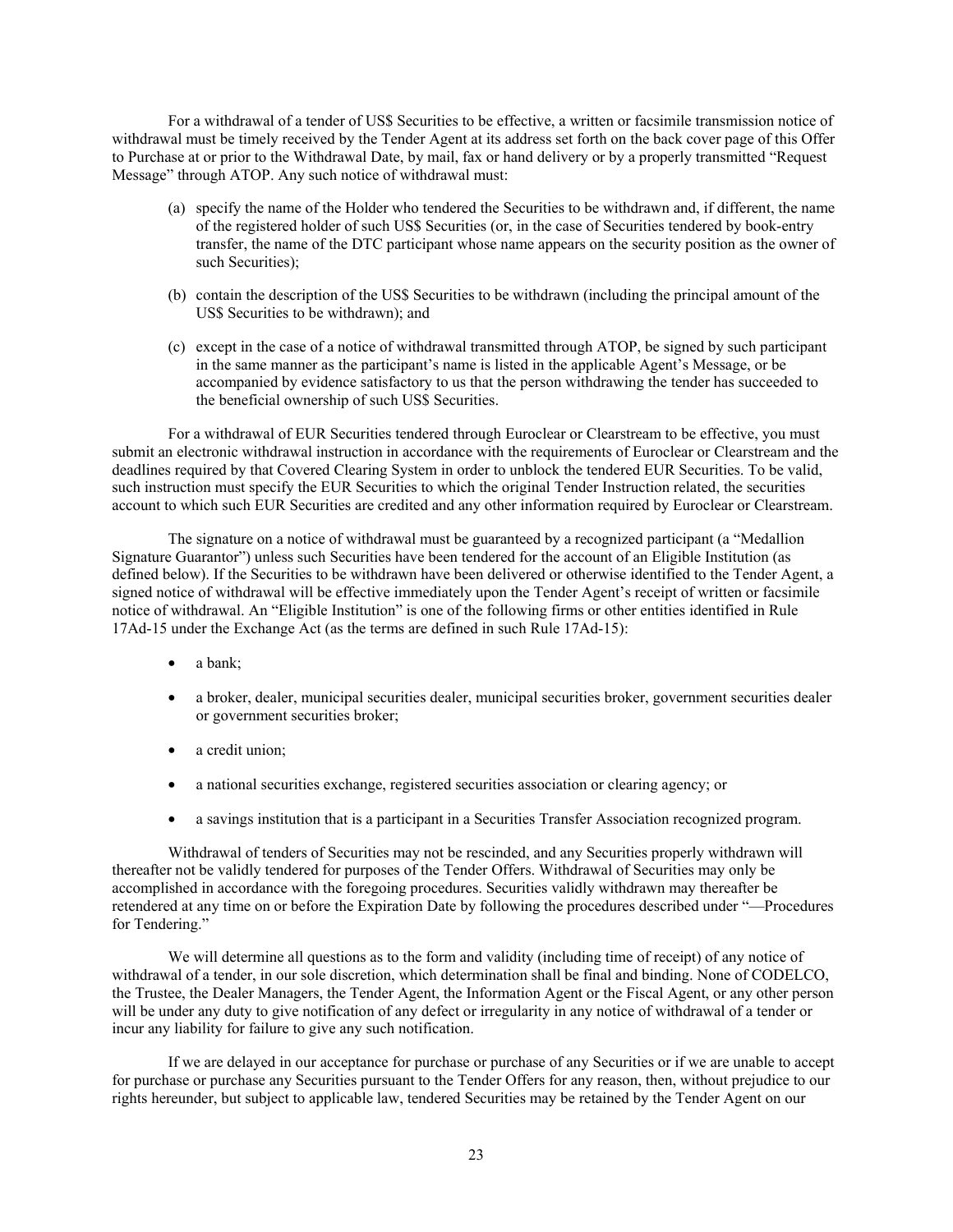For a withdrawal of a tender of US\$ Securities to be effective, a written or facsimile transmission notice of withdrawal must be timely received by the Tender Agent at its address set forth on the back cover page of this Offer to Purchase at or prior to the Withdrawal Date, by mail, fax or hand delivery or by a properly transmitted "Request Message" through ATOP. Any such notice of withdrawal must:

- (a) specify the name of the Holder who tendered the Securities to be withdrawn and, if different, the name of the registered holder of such US\$ Securities (or, in the case of Securities tendered by book-entry transfer, the name of the DTC participant whose name appears on the security position as the owner of such Securities);
- (b) contain the description of the US\$ Securities to be withdrawn (including the principal amount of the US\$ Securities to be withdrawn); and
- (c) except in the case of a notice of withdrawal transmitted through ATOP, be signed by such participant in the same manner as the participant's name is listed in the applicable Agent's Message, or be accompanied by evidence satisfactory to us that the person withdrawing the tender has succeeded to the beneficial ownership of such US\$ Securities.

For a withdrawal of EUR Securities tendered through Euroclear or Clearstream to be effective, you must submit an electronic withdrawal instruction in accordance with the requirements of Euroclear or Clearstream and the deadlines required by that Covered Clearing System in order to unblock the tendered EUR Securities. To be valid, such instruction must specify the EUR Securities to which the original Tender Instruction related, the securities account to which such EUR Securities are credited and any other information required by Euroclear or Clearstream.

The signature on a notice of withdrawal must be guaranteed by a recognized participant (a "Medallion Signature Guarantor") unless such Securities have been tendered for the account of an Eligible Institution (as defined below). If the Securities to be withdrawn have been delivered or otherwise identified to the Tender Agent, a signed notice of withdrawal will be effective immediately upon the Tender Agent's receipt of written or facsimile notice of withdrawal. An "Eligible Institution" is one of the following firms or other entities identified in Rule 17Ad-15 under the Exchange Act (as the terms are defined in such Rule 17Ad-15):

- a bank;
- a broker, dealer, municipal securities dealer, municipal securities broker, government securities dealer or government securities broker;
- a credit union;
- a national securities exchange, registered securities association or clearing agency; or
- a savings institution that is a participant in a Securities Transfer Association recognized program.

Withdrawal of tenders of Securities may not be rescinded, and any Securities properly withdrawn will thereafter not be validly tendered for purposes of the Tender Offers. Withdrawal of Securities may only be accomplished in accordance with the foregoing procedures. Securities validly withdrawn may thereafter be retendered at any time on or before the Expiration Date by following the procedures described under "—Procedures for Tendering."

We will determine all questions as to the form and validity (including time of receipt) of any notice of withdrawal of a tender, in our sole discretion, which determination shall be final and binding. None of CODELCO, the Trustee, the Dealer Managers, the Tender Agent, the Information Agent or the Fiscal Agent, or any other person will be under any duty to give notification of any defect or irregularity in any notice of withdrawal of a tender or incur any liability for failure to give any such notification.

If we are delayed in our acceptance for purchase or purchase of any Securities or if we are unable to accept for purchase or purchase any Securities pursuant to the Tender Offers for any reason, then, without prejudice to our rights hereunder, but subject to applicable law, tendered Securities may be retained by the Tender Agent on our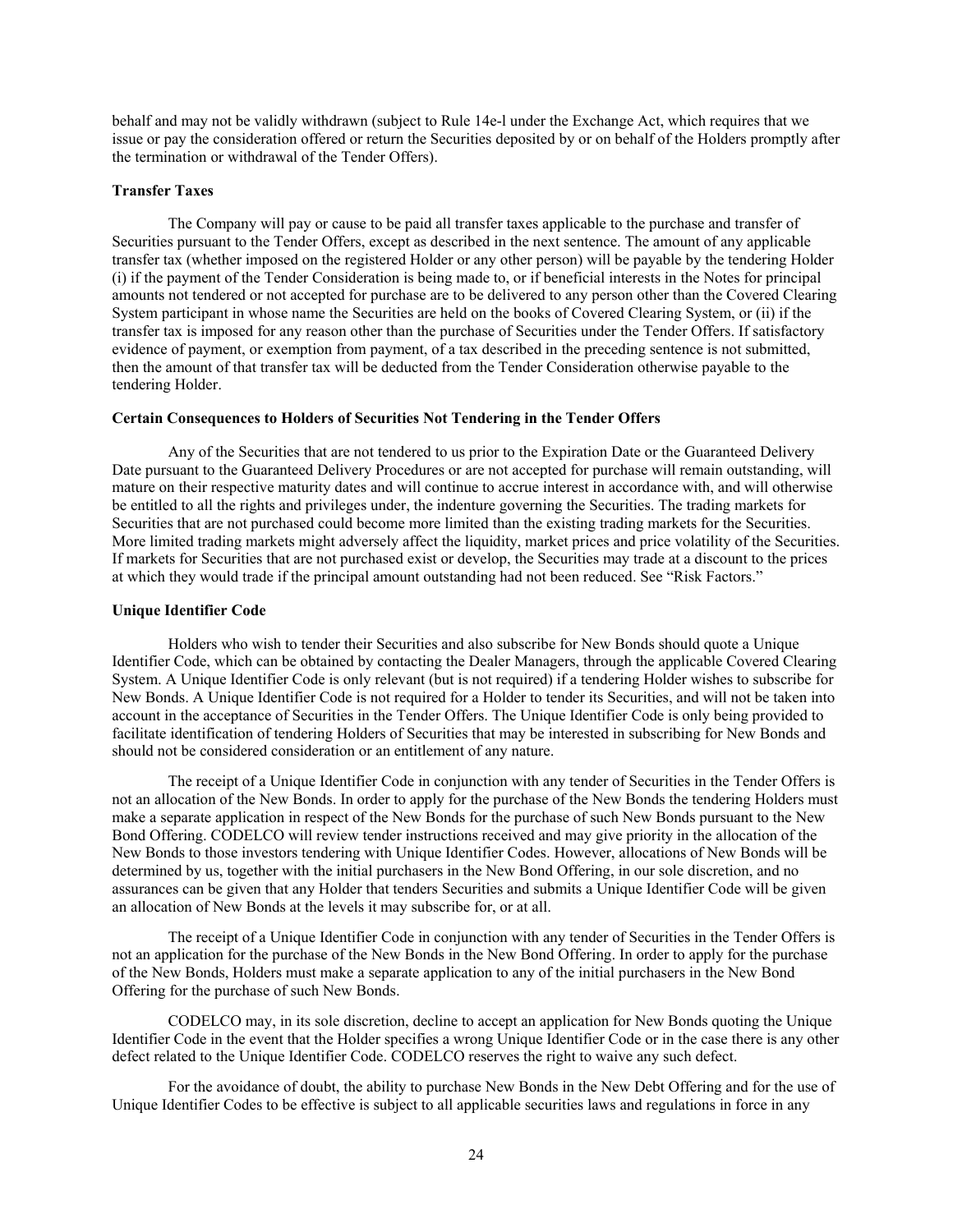behalf and may not be validly withdrawn (subject to Rule 14e-l under the Exchange Act, which requires that we issue or pay the consideration offered or return the Securities deposited by or on behalf of the Holders promptly after the termination or withdrawal of the Tender Offers).

# **Transfer Taxes**

The Company will pay or cause to be paid all transfer taxes applicable to the purchase and transfer of Securities pursuant to the Tender Offers, except as described in the next sentence. The amount of any applicable transfer tax (whether imposed on the registered Holder or any other person) will be payable by the tendering Holder (i) if the payment of the Tender Consideration is being made to, or if beneficial interests in the Notes for principal amounts not tendered or not accepted for purchase are to be delivered to any person other than the Covered Clearing System participant in whose name the Securities are held on the books of Covered Clearing System, or (ii) if the transfer tax is imposed for any reason other than the purchase of Securities under the Tender Offers. If satisfactory evidence of payment, or exemption from payment, of a tax described in the preceding sentence is not submitted, then the amount of that transfer tax will be deducted from the Tender Consideration otherwise payable to the tendering Holder.

# **Certain Consequences to Holders of Securities Not Tendering in the Tender Offers**

Any of the Securities that are not tendered to us prior to the Expiration Date or the Guaranteed Delivery Date pursuant to the Guaranteed Delivery Procedures or are not accepted for purchase will remain outstanding, will mature on their respective maturity dates and will continue to accrue interest in accordance with, and will otherwise be entitled to all the rights and privileges under, the indenture governing the Securities. The trading markets for Securities that are not purchased could become more limited than the existing trading markets for the Securities. More limited trading markets might adversely affect the liquidity, market prices and price volatility of the Securities. If markets for Securities that are not purchased exist or develop, the Securities may trade at a discount to the prices at which they would trade if the principal amount outstanding had not been reduced. See "Risk Factors."

# **Unique Identifier Code**

Holders who wish to tender their Securities and also subscribe for New Bonds should quote a Unique Identifier Code, which can be obtained by contacting the Dealer Managers, through the applicable Covered Clearing System. A Unique Identifier Code is only relevant (but is not required) if a tendering Holder wishes to subscribe for New Bonds. A Unique Identifier Code is not required for a Holder to tender its Securities, and will not be taken into account in the acceptance of Securities in the Tender Offers. The Unique Identifier Code is only being provided to facilitate identification of tendering Holders of Securities that may be interested in subscribing for New Bonds and should not be considered consideration or an entitlement of any nature.

The receipt of a Unique Identifier Code in conjunction with any tender of Securities in the Tender Offers is not an allocation of the New Bonds. In order to apply for the purchase of the New Bonds the tendering Holders must make a separate application in respect of the New Bonds for the purchase of such New Bonds pursuant to the New Bond Offering. CODELCO will review tender instructions received and may give priority in the allocation of the New Bonds to those investors tendering with Unique Identifier Codes. However, allocations of New Bonds will be determined by us, together with the initial purchasers in the New Bond Offering, in our sole discretion, and no assurances can be given that any Holder that tenders Securities and submits a Unique Identifier Code will be given an allocation of New Bonds at the levels it may subscribe for, or at all.

The receipt of a Unique Identifier Code in conjunction with any tender of Securities in the Tender Offers is not an application for the purchase of the New Bonds in the New Bond Offering. In order to apply for the purchase of the New Bonds, Holders must make a separate application to any of the initial purchasers in the New Bond Offering for the purchase of such New Bonds.

CODELCO may, in its sole discretion, decline to accept an application for New Bonds quoting the Unique Identifier Code in the event that the Holder specifies a wrong Unique Identifier Code or in the case there is any other defect related to the Unique Identifier Code. CODELCO reserves the right to waive any such defect.

For the avoidance of doubt, the ability to purchase New Bonds in the New Debt Offering and for the use of Unique Identifier Codes to be effective is subject to all applicable securities laws and regulations in force in any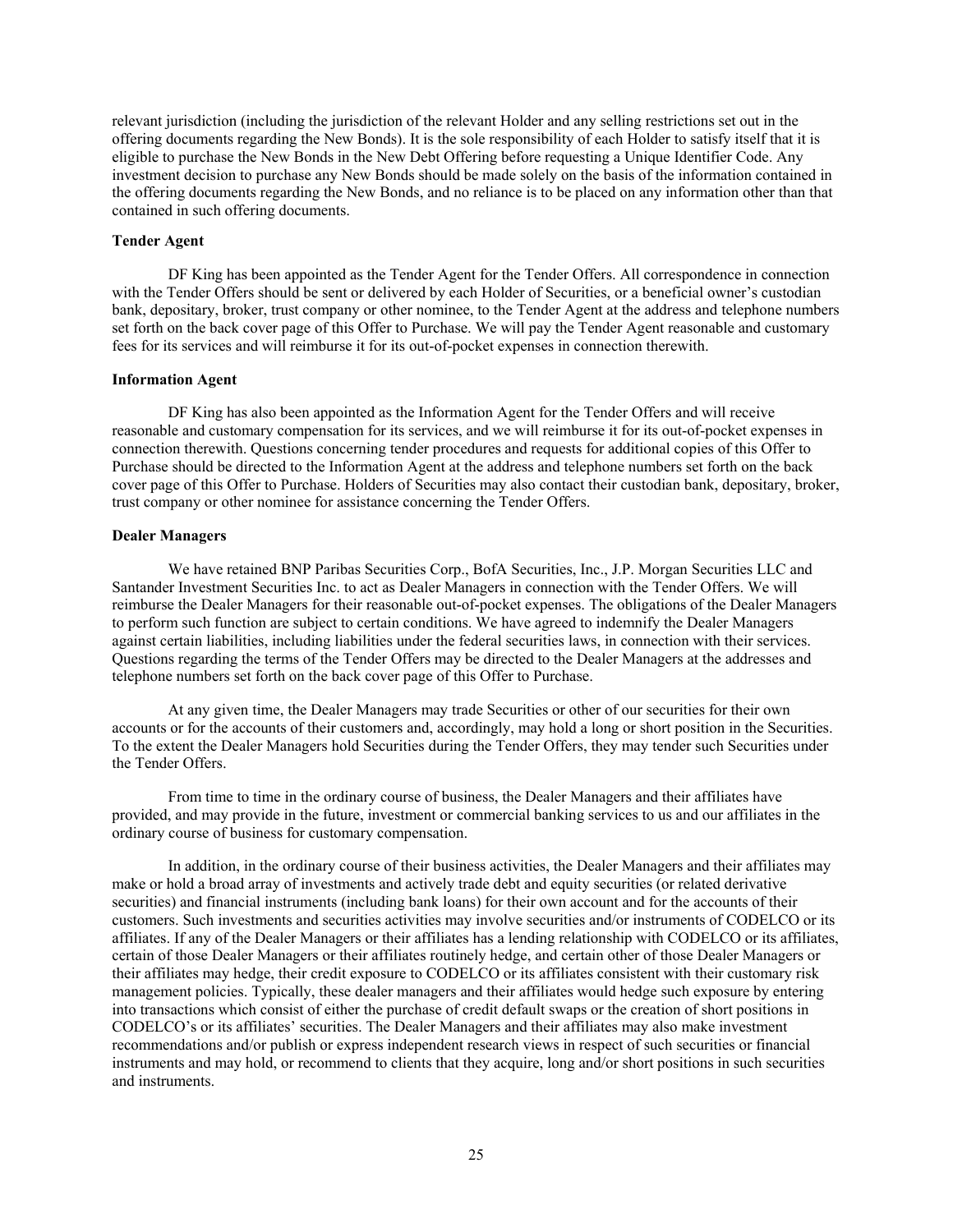relevant jurisdiction (including the jurisdiction of the relevant Holder and any selling restrictions set out in the offering documents regarding the New Bonds). It is the sole responsibility of each Holder to satisfy itself that it is eligible to purchase the New Bonds in the New Debt Offering before requesting a Unique Identifier Code. Any investment decision to purchase any New Bonds should be made solely on the basis of the information contained in the offering documents regarding the New Bonds, and no reliance is to be placed on any information other than that contained in such offering documents.

#### **Tender Agent**

DF King has been appointed as the Tender Agent for the Tender Offers. All correspondence in connection with the Tender Offers should be sent or delivered by each Holder of Securities, or a beneficial owner's custodian bank, depositary, broker, trust company or other nominee, to the Tender Agent at the address and telephone numbers set forth on the back cover page of this Offer to Purchase. We will pay the Tender Agent reasonable and customary fees for its services and will reimburse it for its out-of-pocket expenses in connection therewith.

#### **Information Agent**

DF King has also been appointed as the Information Agent for the Tender Offers and will receive reasonable and customary compensation for its services, and we will reimburse it for its out-of-pocket expenses in connection therewith. Questions concerning tender procedures and requests for additional copies of this Offer to Purchase should be directed to the Information Agent at the address and telephone numbers set forth on the back cover page of this Offer to Purchase. Holders of Securities may also contact their custodian bank, depositary, broker, trust company or other nominee for assistance concerning the Tender Offers.

#### **Dealer Managers**

We have retained BNP Paribas Securities Corp., BofA Securities, Inc., J.P. Morgan Securities LLC and Santander Investment Securities Inc. to act as Dealer Managers in connection with the Tender Offers. We will reimburse the Dealer Managers for their reasonable out-of-pocket expenses. The obligations of the Dealer Managers to perform such function are subject to certain conditions. We have agreed to indemnify the Dealer Managers against certain liabilities, including liabilities under the federal securities laws, in connection with their services. Questions regarding the terms of the Tender Offers may be directed to the Dealer Managers at the addresses and telephone numbers set forth on the back cover page of this Offer to Purchase.

At any given time, the Dealer Managers may trade Securities or other of our securities for their own accounts or for the accounts of their customers and, accordingly, may hold a long or short position in the Securities. To the extent the Dealer Managers hold Securities during the Tender Offers, they may tender such Securities under the Tender Offers.

From time to time in the ordinary course of business, the Dealer Managers and their affiliates have provided, and may provide in the future, investment or commercial banking services to us and our affiliates in the ordinary course of business for customary compensation.

In addition, in the ordinary course of their business activities, the Dealer Managers and their affiliates may make or hold a broad array of investments and actively trade debt and equity securities (or related derivative securities) and financial instruments (including bank loans) for their own account and for the accounts of their customers. Such investments and securities activities may involve securities and/or instruments of CODELCO or its affiliates. If any of the Dealer Managers or their affiliates has a lending relationship with CODELCO or its affiliates, certain of those Dealer Managers or their affiliates routinely hedge, and certain other of those Dealer Managers or their affiliates may hedge, their credit exposure to CODELCO or its affiliates consistent with their customary risk management policies. Typically, these dealer managers and their affiliates would hedge such exposure by entering into transactions which consist of either the purchase of credit default swaps or the creation of short positions in CODELCO's or its affiliates' securities. The Dealer Managers and their affiliates may also make investment recommendations and/or publish or express independent research views in respect of such securities or financial instruments and may hold, or recommend to clients that they acquire, long and/or short positions in such securities and instruments.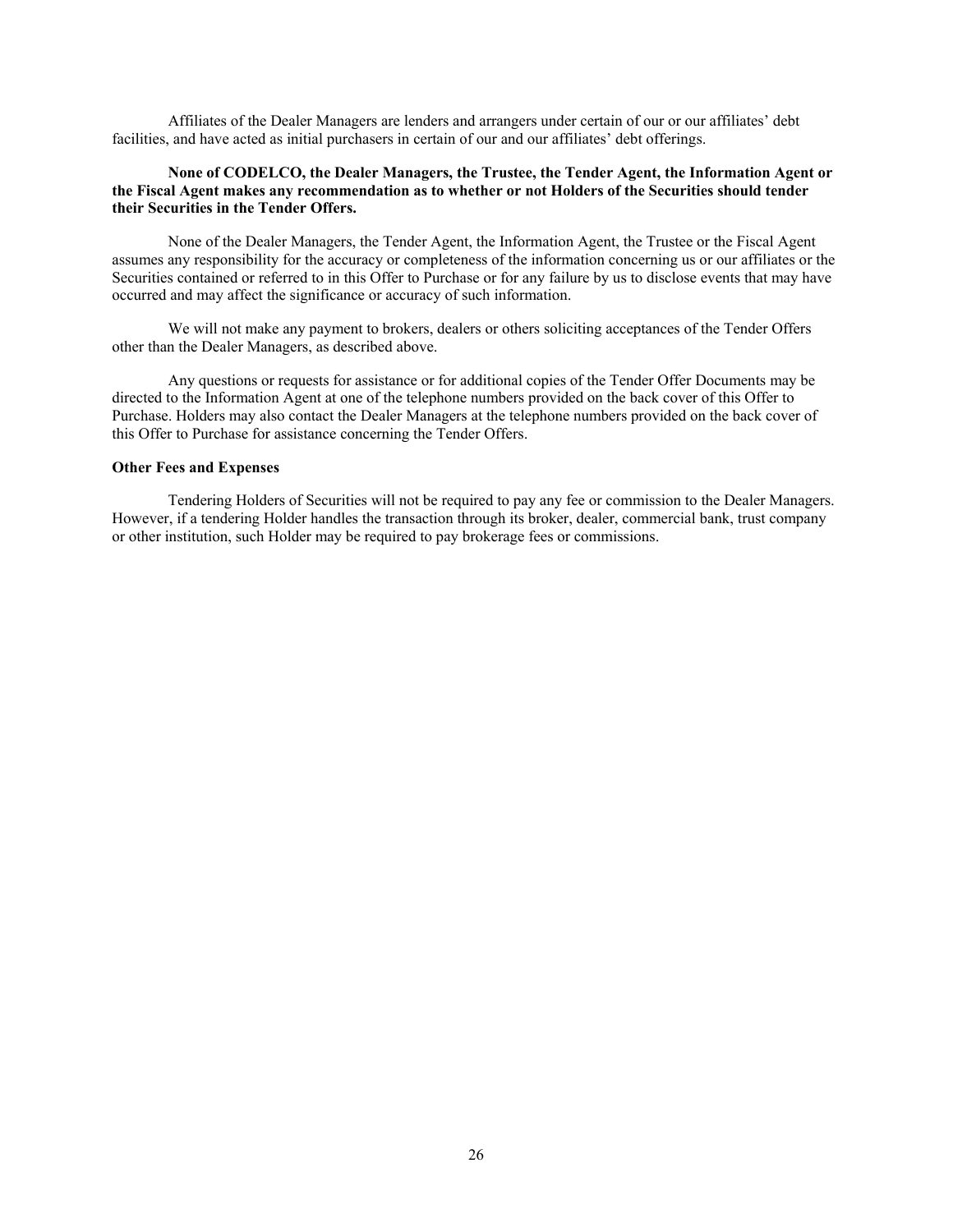Affiliates of the Dealer Managers are lenders and arrangers under certain of our or our affiliates' debt facilities, and have acted as initial purchasers in certain of our and our affiliates' debt offerings.

# **None of CODELCO, the Dealer Managers, the Trustee, the Tender Agent, the Information Agent or the Fiscal Agent makes any recommendation as to whether or not Holders of the Securities should tender their Securities in the Tender Offers.**

None of the Dealer Managers, the Tender Agent, the Information Agent, the Trustee or the Fiscal Agent assumes any responsibility for the accuracy or completeness of the information concerning us or our affiliates or the Securities contained or referred to in this Offer to Purchase or for any failure by us to disclose events that may have occurred and may affect the significance or accuracy of such information.

We will not make any payment to brokers, dealers or others soliciting acceptances of the Tender Offers other than the Dealer Managers, as described above.

Any questions or requests for assistance or for additional copies of the Tender Offer Documents may be directed to the Information Agent at one of the telephone numbers provided on the back cover of this Offer to Purchase. Holders may also contact the Dealer Managers at the telephone numbers provided on the back cover of this Offer to Purchase for assistance concerning the Tender Offers.

#### **Other Fees and Expenses**

Tendering Holders of Securities will not be required to pay any fee or commission to the Dealer Managers. However, if a tendering Holder handles the transaction through its broker, dealer, commercial bank, trust company or other institution, such Holder may be required to pay brokerage fees or commissions.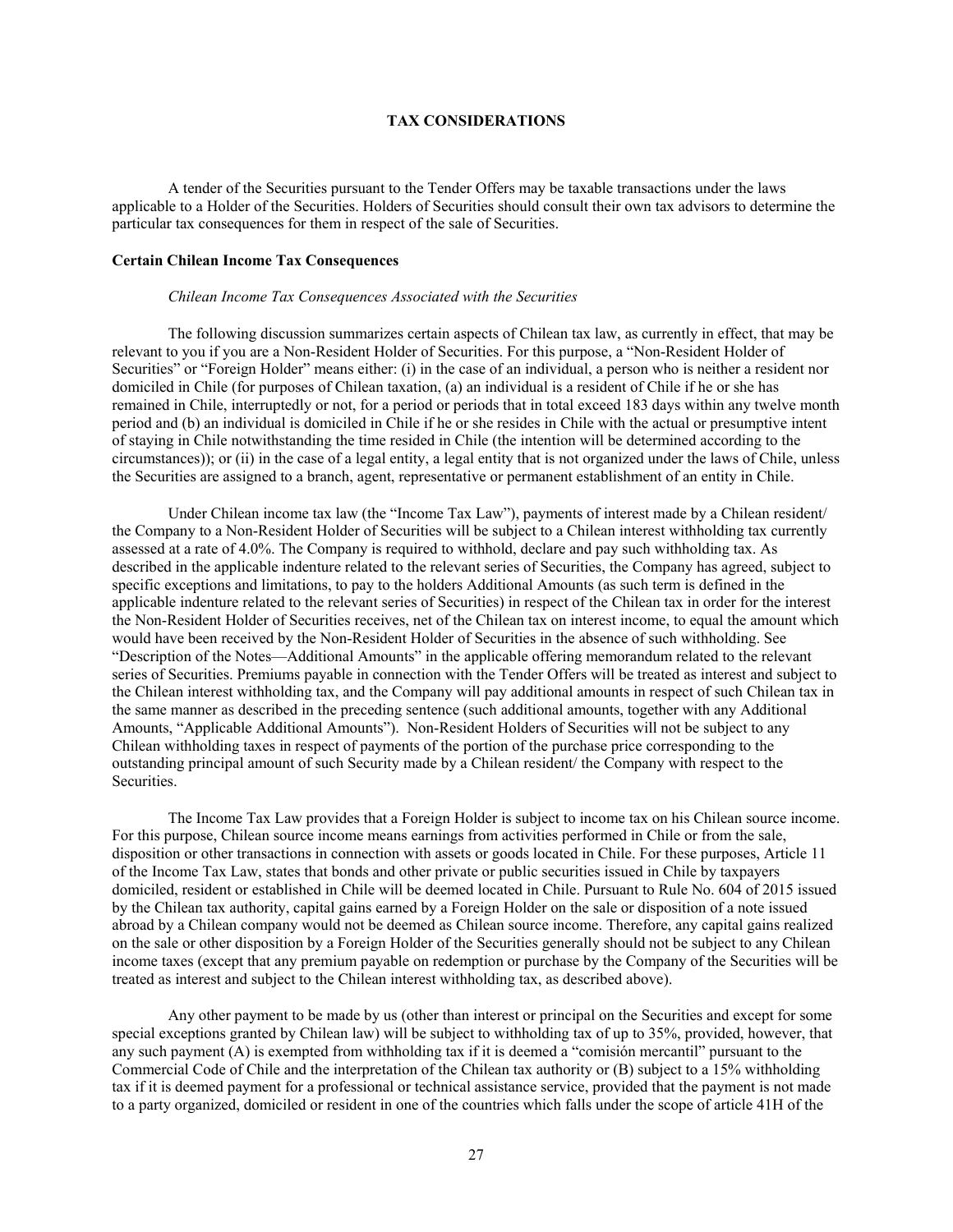# **TAX CONSIDERATIONS**

A tender of the Securities pursuant to the Tender Offers may be taxable transactions under the laws applicable to a Holder of the Securities. Holders of Securities should consult their own tax advisors to determine the particular tax consequences for them in respect of the sale of Securities.

# **Certain Chilean Income Tax Consequences**

#### *Chilean Income Tax Consequences Associated with the Securities*

The following discussion summarizes certain aspects of Chilean tax law, as currently in effect, that may be relevant to you if you are a Non-Resident Holder of Securities. For this purpose, a "Non-Resident Holder of Securities" or "Foreign Holder" means either: (i) in the case of an individual, a person who is neither a resident nor domiciled in Chile (for purposes of Chilean taxation, (a) an individual is a resident of Chile if he or she has remained in Chile, interruptedly or not, for a period or periods that in total exceed 183 days within any twelve month period and (b) an individual is domiciled in Chile if he or she resides in Chile with the actual or presumptive intent of staying in Chile notwithstanding the time resided in Chile (the intention will be determined according to the circumstances)); or (ii) in the case of a legal entity, a legal entity that is not organized under the laws of Chile, unless the Securities are assigned to a branch, agent, representative or permanent establishment of an entity in Chile.

Under Chilean income tax law (the "Income Tax Law"), payments of interest made by a Chilean resident/ the Company to a Non-Resident Holder of Securities will be subject to a Chilean interest withholding tax currently assessed at a rate of 4.0%. The Company is required to withhold, declare and pay such withholding tax. As described in the applicable indenture related to the relevant series of Securities, the Company has agreed, subject to specific exceptions and limitations, to pay to the holders Additional Amounts (as such term is defined in the applicable indenture related to the relevant series of Securities) in respect of the Chilean tax in order for the interest the Non-Resident Holder of Securities receives, net of the Chilean tax on interest income, to equal the amount which would have been received by the Non-Resident Holder of Securities in the absence of such withholding. See "Description of the Notes—Additional Amounts" in the applicable offering memorandum related to the relevant series of Securities. Premiums payable in connection with the Tender Offers will be treated as interest and subject to the Chilean interest withholding tax, and the Company will pay additional amounts in respect of such Chilean tax in the same manner as described in the preceding sentence (such additional amounts, together with any Additional Amounts, "Applicable Additional Amounts"). Non-Resident Holders of Securities will not be subject to any Chilean withholding taxes in respect of payments of the portion of the purchase price corresponding to the outstanding principal amount of such Security made by a Chilean resident/ the Company with respect to the Securities.

The Income Tax Law provides that a Foreign Holder is subject to income tax on his Chilean source income. For this purpose, Chilean source income means earnings from activities performed in Chile or from the sale, disposition or other transactions in connection with assets or goods located in Chile. For these purposes, Article 11 of the Income Tax Law, states that bonds and other private or public securities issued in Chile by taxpayers domiciled, resident or established in Chile will be deemed located in Chile. Pursuant to Rule No. 604 of 2015 issued by the Chilean tax authority, capital gains earned by a Foreign Holder on the sale or disposition of a note issued abroad by a Chilean company would not be deemed as Chilean source income. Therefore, any capital gains realized on the sale or other disposition by a Foreign Holder of the Securities generally should not be subject to any Chilean income taxes (except that any premium payable on redemption or purchase by the Company of the Securities will be treated as interest and subject to the Chilean interest withholding tax, as described above).

Any other payment to be made by us (other than interest or principal on the Securities and except for some special exceptions granted by Chilean law) will be subject to withholding tax of up to 35%, provided, however, that any such payment (A) is exempted from withholding tax if it is deemed a "comisión mercantil" pursuant to the Commercial Code of Chile and the interpretation of the Chilean tax authority or (B) subject to a 15% withholding tax if it is deemed payment for a professional or technical assistance service, provided that the payment is not made to a party organized, domiciled or resident in one of the countries which falls under the scope of article 41H of the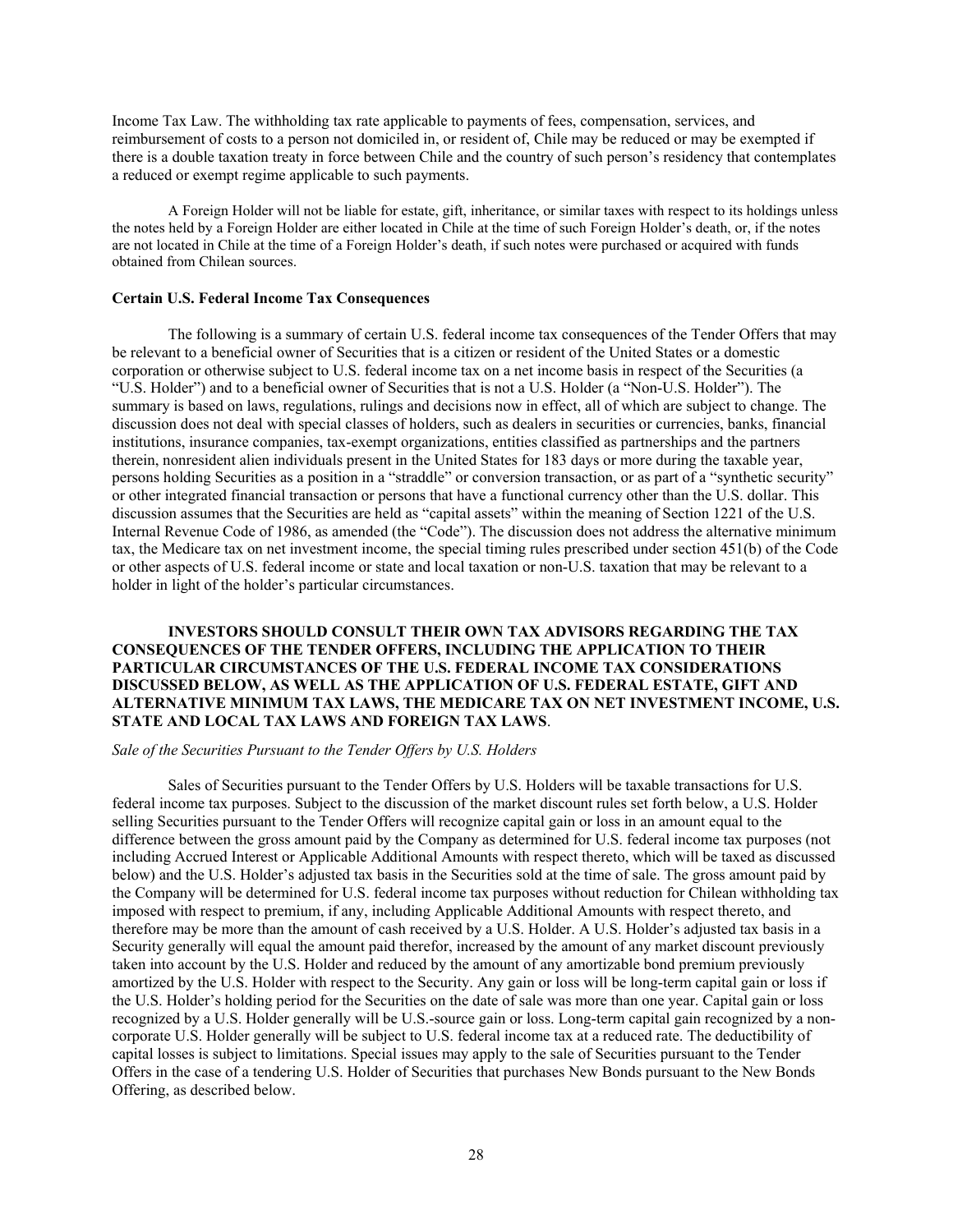Income Tax Law. The withholding tax rate applicable to payments of fees, compensation, services, and reimbursement of costs to a person not domiciled in, or resident of, Chile may be reduced or may be exempted if there is a double taxation treaty in force between Chile and the country of such person's residency that contemplates a reduced or exempt regime applicable to such payments.

A Foreign Holder will not be liable for estate, gift, inheritance, or similar taxes with respect to its holdings unless the notes held by a Foreign Holder are either located in Chile at the time of such Foreign Holder's death, or, if the notes are not located in Chile at the time of a Foreign Holder's death, if such notes were purchased or acquired with funds obtained from Chilean sources.

#### **Certain U.S. Federal Income Tax Consequences**

The following is a summary of certain U.S. federal income tax consequences of the Tender Offers that may be relevant to a beneficial owner of Securities that is a citizen or resident of the United States or a domestic corporation or otherwise subject to U.S. federal income tax on a net income basis in respect of the Securities (a "U.S. Holder") and to a beneficial owner of Securities that is not a U.S. Holder (a "Non-U.S. Holder"). The summary is based on laws, regulations, rulings and decisions now in effect, all of which are subject to change. The discussion does not deal with special classes of holders, such as dealers in securities or currencies, banks, financial institutions, insurance companies, tax-exempt organizations, entities classified as partnerships and the partners therein, nonresident alien individuals present in the United States for 183 days or more during the taxable year, persons holding Securities as a position in a "straddle" or conversion transaction, or as part of a "synthetic security" or other integrated financial transaction or persons that have a functional currency other than the U.S. dollar. This discussion assumes that the Securities are held as "capital assets" within the meaning of Section 1221 of the U.S. Internal Revenue Code of 1986, as amended (the "Code"). The discussion does not address the alternative minimum tax, the Medicare tax on net investment income, the special timing rules prescribed under section 451(b) of the Code or other aspects of U.S. federal income or state and local taxation or non-U.S. taxation that may be relevant to a holder in light of the holder's particular circumstances.

**INVESTORS SHOULD CONSULT THEIR OWN TAX ADVISORS REGARDING THE TAX CONSEQUENCES OF THE TENDER OFFERS, INCLUDING THE APPLICATION TO THEIR PARTICULAR CIRCUMSTANCES OF THE U.S. FEDERAL INCOME TAX CONSIDERATIONS DISCUSSED BELOW, AS WELL AS THE APPLICATION OF U.S. FEDERAL ESTATE, GIFT AND ALTERNATIVE MINIMUM TAX LAWS, THE MEDICARE TAX ON NET INVESTMENT INCOME, U.S. STATE AND LOCAL TAX LAWS AND FOREIGN TAX LAWS**.

#### *Sale of the Securities Pursuant to the Tender Offers by U.S. Holders*

Sales of Securities pursuant to the Tender Offers by U.S. Holders will be taxable transactions for U.S. federal income tax purposes. Subject to the discussion of the market discount rules set forth below, a U.S. Holder selling Securities pursuant to the Tender Offers will recognize capital gain or loss in an amount equal to the difference between the gross amount paid by the Company as determined for U.S. federal income tax purposes (not including Accrued Interest or Applicable Additional Amounts with respect thereto, which will be taxed as discussed below) and the U.S. Holder's adjusted tax basis in the Securities sold at the time of sale. The gross amount paid by the Company will be determined for U.S. federal income tax purposes without reduction for Chilean withholding tax imposed with respect to premium, if any, including Applicable Additional Amounts with respect thereto, and therefore may be more than the amount of cash received by a U.S. Holder. A U.S. Holder's adjusted tax basis in a Security generally will equal the amount paid therefor, increased by the amount of any market discount previously taken into account by the U.S. Holder and reduced by the amount of any amortizable bond premium previously amortized by the U.S. Holder with respect to the Security. Any gain or loss will be long-term capital gain or loss if the U.S. Holder's holding period for the Securities on the date of sale was more than one year. Capital gain or loss recognized by a U.S. Holder generally will be U.S.-source gain or loss. Long-term capital gain recognized by a noncorporate U.S. Holder generally will be subject to U.S. federal income tax at a reduced rate. The deductibility of capital losses is subject to limitations. Special issues may apply to the sale of Securities pursuant to the Tender Offers in the case of a tendering U.S. Holder of Securities that purchases New Bonds pursuant to the New Bonds Offering, as described below.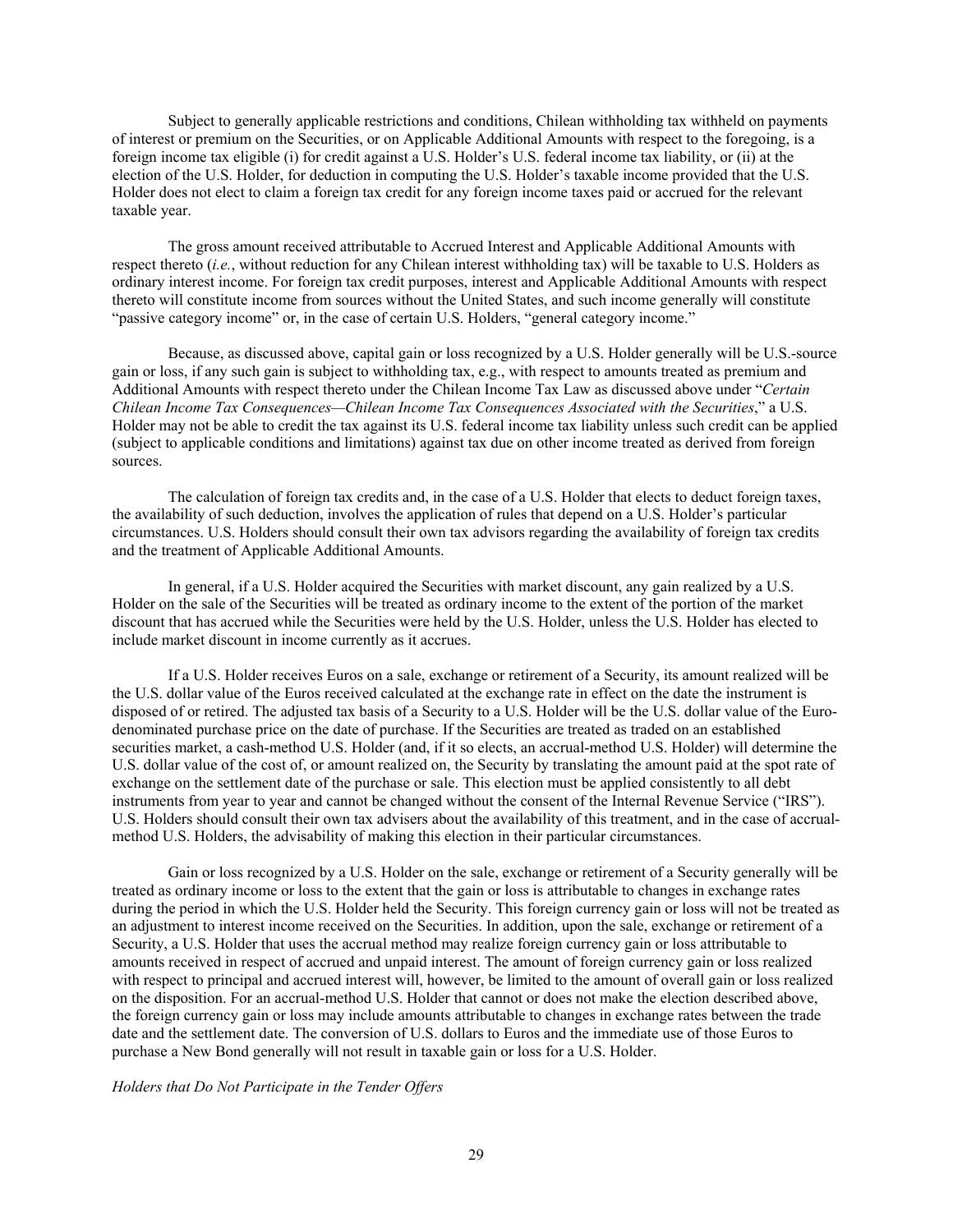Subject to generally applicable restrictions and conditions, Chilean withholding tax withheld on payments of interest or premium on the Securities, or on Applicable Additional Amounts with respect to the foregoing, is a foreign income tax eligible (i) for credit against a U.S. Holder's U.S. federal income tax liability, or (ii) at the election of the U.S. Holder, for deduction in computing the U.S. Holder's taxable income provided that the U.S. Holder does not elect to claim a foreign tax credit for any foreign income taxes paid or accrued for the relevant taxable year.

The gross amount received attributable to Accrued Interest and Applicable Additional Amounts with respect thereto (*i.e.*, without reduction for any Chilean interest withholding tax) will be taxable to U.S. Holders as ordinary interest income. For foreign tax credit purposes, interest and Applicable Additional Amounts with respect thereto will constitute income from sources without the United States, and such income generally will constitute "passive category income" or, in the case of certain U.S. Holders, "general category income."

Because, as discussed above, capital gain or loss recognized by a U.S. Holder generally will be U.S.-source gain or loss, if any such gain is subject to withholding tax, e.g., with respect to amounts treated as premium and Additional Amounts with respect thereto under the Chilean Income Tax Law as discussed above under "*Certain Chilean Income Tax Consequences—Chilean Income Tax Consequences Associated with the Securities*," a U.S. Holder may not be able to credit the tax against its U.S. federal income tax liability unless such credit can be applied (subject to applicable conditions and limitations) against tax due on other income treated as derived from foreign sources.

The calculation of foreign tax credits and, in the case of a U.S. Holder that elects to deduct foreign taxes, the availability of such deduction, involves the application of rules that depend on a U.S. Holder's particular circumstances. U.S. Holders should consult their own tax advisors regarding the availability of foreign tax credits and the treatment of Applicable Additional Amounts.

In general, if a U.S. Holder acquired the Securities with market discount, any gain realized by a U.S. Holder on the sale of the Securities will be treated as ordinary income to the extent of the portion of the market discount that has accrued while the Securities were held by the U.S. Holder, unless the U.S. Holder has elected to include market discount in income currently as it accrues.

If a U.S. Holder receives Euros on a sale, exchange or retirement of a Security, its amount realized will be the U.S. dollar value of the Euros received calculated at the exchange rate in effect on the date the instrument is disposed of or retired. The adjusted tax basis of a Security to a U.S. Holder will be the U.S. dollar value of the Eurodenominated purchase price on the date of purchase. If the Securities are treated as traded on an established securities market, a cash-method U.S. Holder (and, if it so elects, an accrual-method U.S. Holder) will determine the U.S. dollar value of the cost of, or amount realized on, the Security by translating the amount paid at the spot rate of exchange on the settlement date of the purchase or sale. This election must be applied consistently to all debt instruments from year to year and cannot be changed without the consent of the Internal Revenue Service ("IRS"). U.S. Holders should consult their own tax advisers about the availability of this treatment, and in the case of accrualmethod U.S. Holders, the advisability of making this election in their particular circumstances.

Gain or loss recognized by a U.S. Holder on the sale, exchange or retirement of a Security generally will be treated as ordinary income or loss to the extent that the gain or loss is attributable to changes in exchange rates during the period in which the U.S. Holder held the Security. This foreign currency gain or loss will not be treated as an adjustment to interest income received on the Securities. In addition, upon the sale, exchange or retirement of a Security, a U.S. Holder that uses the accrual method may realize foreign currency gain or loss attributable to amounts received in respect of accrued and unpaid interest. The amount of foreign currency gain or loss realized with respect to principal and accrued interest will, however, be limited to the amount of overall gain or loss realized on the disposition. For an accrual-method U.S. Holder that cannot or does not make the election described above, the foreign currency gain or loss may include amounts attributable to changes in exchange rates between the trade date and the settlement date. The conversion of U.S. dollars to Euros and the immediate use of those Euros to purchase a New Bond generally will not result in taxable gain or loss for a U.S. Holder.

*Holders that Do Not Participate in the Tender Offers*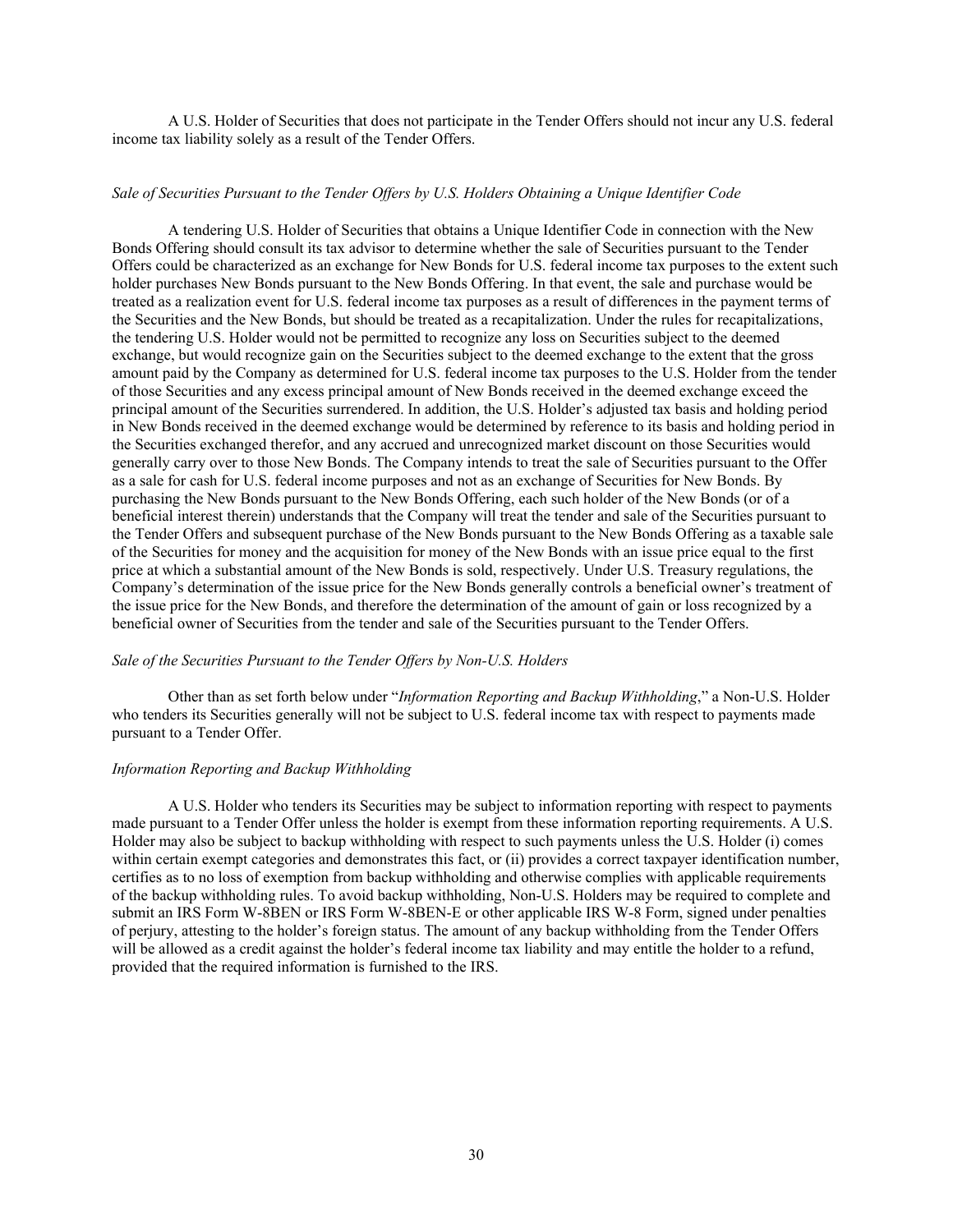A U.S. Holder of Securities that does not participate in the Tender Offers should not incur any U.S. federal income tax liability solely as a result of the Tender Offers.

#### *Sale of Securities Pursuant to the Tender Offers by U.S. Holders Obtaining a Unique Identifier Code*

A tendering U.S. Holder of Securities that obtains a Unique Identifier Code in connection with the New Bonds Offering should consult its tax advisor to determine whether the sale of Securities pursuant to the Tender Offers could be characterized as an exchange for New Bonds for U.S. federal income tax purposes to the extent such holder purchases New Bonds pursuant to the New Bonds Offering. In that event, the sale and purchase would be treated as a realization event for U.S. federal income tax purposes as a result of differences in the payment terms of the Securities and the New Bonds, but should be treated as a recapitalization. Under the rules for recapitalizations, the tendering U.S. Holder would not be permitted to recognize any loss on Securities subject to the deemed exchange, but would recognize gain on the Securities subject to the deemed exchange to the extent that the gross amount paid by the Company as determined for U.S. federal income tax purposes to the U.S. Holder from the tender of those Securities and any excess principal amount of New Bonds received in the deemed exchange exceed the principal amount of the Securities surrendered. In addition, the U.S. Holder's adjusted tax basis and holding period in New Bonds received in the deemed exchange would be determined by reference to its basis and holding period in the Securities exchanged therefor, and any accrued and unrecognized market discount on those Securities would generally carry over to those New Bonds. The Company intends to treat the sale of Securities pursuant to the Offer as a sale for cash for U.S. federal income purposes and not as an exchange of Securities for New Bonds. By purchasing the New Bonds pursuant to the New Bonds Offering, each such holder of the New Bonds (or of a beneficial interest therein) understands that the Company will treat the tender and sale of the Securities pursuant to the Tender Offers and subsequent purchase of the New Bonds pursuant to the New Bonds Offering as a taxable sale of the Securities for money and the acquisition for money of the New Bonds with an issue price equal to the first price at which a substantial amount of the New Bonds is sold, respectively. Under U.S. Treasury regulations, the Company's determination of the issue price for the New Bonds generally controls a beneficial owner's treatment of the issue price for the New Bonds, and therefore the determination of the amount of gain or loss recognized by a beneficial owner of Securities from the tender and sale of the Securities pursuant to the Tender Offers.

#### *Sale of the Securities Pursuant to the Tender Offers by Non-U.S. Holders*

Other than as set forth below under "*Information Reporting and Backup Withholding*," a Non-U.S. Holder who tenders its Securities generally will not be subject to U.S. federal income tax with respect to payments made pursuant to a Tender Offer.

#### *Information Reporting and Backup Withholding*

A U.S. Holder who tenders its Securities may be subject to information reporting with respect to payments made pursuant to a Tender Offer unless the holder is exempt from these information reporting requirements. A U.S. Holder may also be subject to backup withholding with respect to such payments unless the U.S. Holder (i) comes within certain exempt categories and demonstrates this fact, or (ii) provides a correct taxpayer identification number, certifies as to no loss of exemption from backup withholding and otherwise complies with applicable requirements of the backup withholding rules. To avoid backup withholding, Non-U.S. Holders may be required to complete and submit an IRS Form W-8BEN or IRS Form W-8BEN-E or other applicable IRS W-8 Form, signed under penalties of perjury, attesting to the holder's foreign status. The amount of any backup withholding from the Tender Offers will be allowed as a credit against the holder's federal income tax liability and may entitle the holder to a refund, provided that the required information is furnished to the IRS.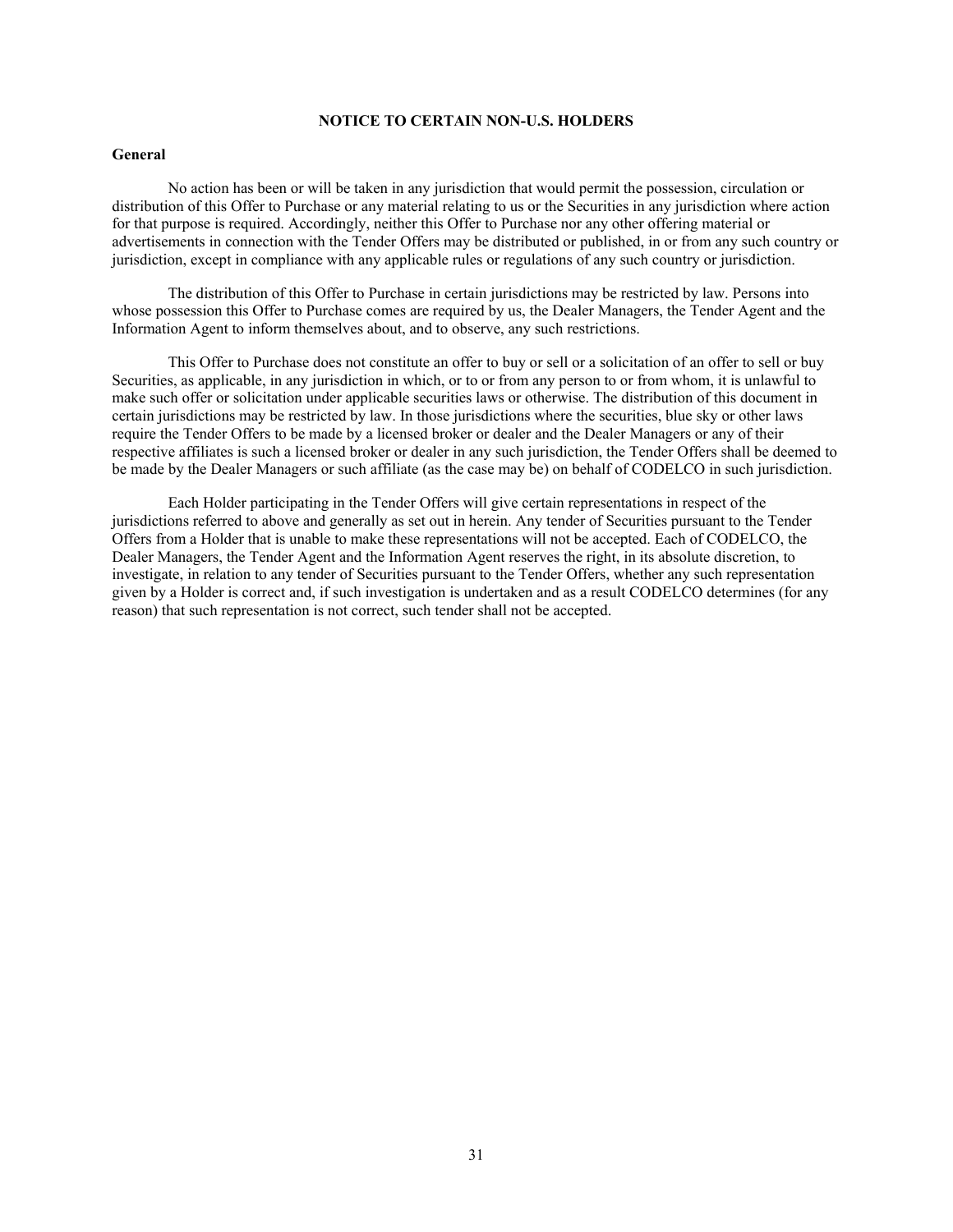# **NOTICE TO CERTAIN NON-U.S. HOLDERS**

# **General**

No action has been or will be taken in any jurisdiction that would permit the possession, circulation or distribution of this Offer to Purchase or any material relating to us or the Securities in any jurisdiction where action for that purpose is required. Accordingly, neither this Offer to Purchase nor any other offering material or advertisements in connection with the Tender Offers may be distributed or published, in or from any such country or jurisdiction, except in compliance with any applicable rules or regulations of any such country or jurisdiction.

The distribution of this Offer to Purchase in certain jurisdictions may be restricted by law. Persons into whose possession this Offer to Purchase comes are required by us, the Dealer Managers, the Tender Agent and the Information Agent to inform themselves about, and to observe, any such restrictions.

This Offer to Purchase does not constitute an offer to buy or sell or a solicitation of an offer to sell or buy Securities, as applicable, in any jurisdiction in which, or to or from any person to or from whom, it is unlawful to make such offer or solicitation under applicable securities laws or otherwise. The distribution of this document in certain jurisdictions may be restricted by law. In those jurisdictions where the securities, blue sky or other laws require the Tender Offers to be made by a licensed broker or dealer and the Dealer Managers or any of their respective affiliates is such a licensed broker or dealer in any such jurisdiction, the Tender Offers shall be deemed to be made by the Dealer Managers or such affiliate (as the case may be) on behalf of CODELCO in such jurisdiction.

Each Holder participating in the Tender Offers will give certain representations in respect of the jurisdictions referred to above and generally as set out in herein. Any tender of Securities pursuant to the Tender Offers from a Holder that is unable to make these representations will not be accepted. Each of CODELCO, the Dealer Managers, the Tender Agent and the Information Agent reserves the right, in its absolute discretion, to investigate, in relation to any tender of Securities pursuant to the Tender Offers, whether any such representation given by a Holder is correct and, if such investigation is undertaken and as a result CODELCO determines (for any reason) that such representation is not correct, such tender shall not be accepted.